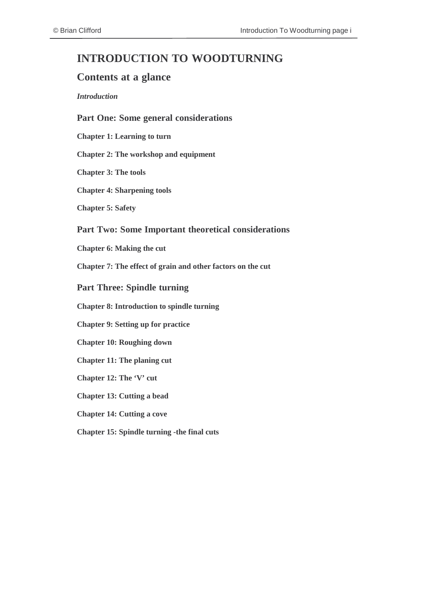# **INTRODUCTION TO WOODTURNING**

### **Contents at a glance**

#### *Introduction*

#### **Part One: Some general considerations**

**Chapter 1: [Learning](#page-6-0) to turn**

**Chapter 2: The workshop and [equipment](#page-10-0)**

**[Chapter](#page-15-0) 3: The tools**

**Chapter 4: [Sharpening](#page-22-0) tools**

**[Chapter](#page-25-0) 5: Safety**

#### **Part Two: Some Important theoretical considerations**

**[Chapter](#page-31-0) 6: Making the cut**

**[Chapter](#page-36-0) 7: The effect of grain and other factors on the cut**

**Part Three: Spindle turning**

**Chapter 8: [Introduction](#page-43-0) to spindle turning**

**[Chapter](#page-46-0) 9: Setting up for practice**

**Chapter 10: [Roughing](#page-48-0) down**

**[Chapter](#page-51-0) 11: The planing cut**

**[Chapter](#page-56-0) 12: The 'V' cut**

**[Chapter](#page-62-0) 13: Cutting a bead**

**[Chapter](#page-66-0) 14: Cutting a cove**

**[Chapter](#page-70-0) 15: Spindle turning -the final cuts**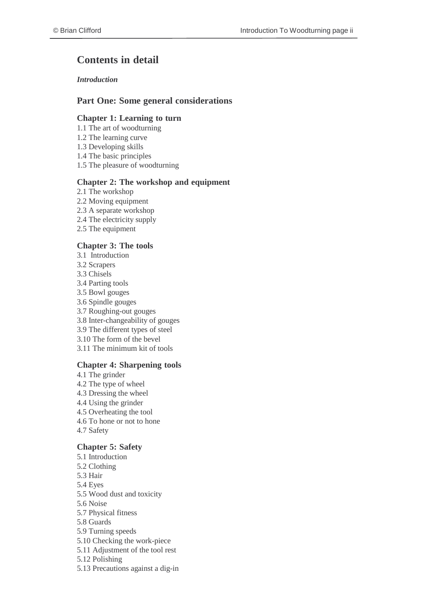# **Contents in detail**

#### *Introduction*

#### **Part One: Some general considerations**

#### **Chapter 1: Learning to turn**

- 1.1 The art of woodturning
- 1.2 The learning curve
- 1.3 Developing skills
- 1.4 The basic principles
- 1.5 The pleasure of woodturning

#### **Chapter 2: The workshop and equipment**

- 2.1 The workshop
- 2.2 Moving equipment
- 2.3 A separate workshop
- 2.4 The electricity supply
- 2.5 The equipment

#### **Chapter 3: The tools**

- 3.1 Introduction
- 3.2 Scrapers
- 3.3 Chisels
- 3.4 Parting tools
- 3.5 Bowl gouges
- 3.6 Spindle gouges
- 3.7 Roughing-out gouges
- 3.8 Inter-changeability of gouges
- 3.9 The different types of steel
- 3.10 The form of the bevel
- 3.11 The minimum kit of tools

#### **Chapter 4: Sharpening tools**

4.1 The grinder 4.2 The type of wheel 4.3 Dressing the wheel 4.4 Using the grinder 4.5 Overheating the tool 4.6 To hone or not to hone 4.7 Safety

#### **Chapter 5: Safety**

- 5.1 Introduction 5.2 Clothing 5.3 Hair 5.4 Eyes 5.5 Wood dust and toxicity 5.6 Noise 5.7 Physical fitness 5.8 Guards 5.9 Turning speeds 5.10 Checking the work-piece 5.11 Adjustment of the tool rest 5.12 Polishing
- 5.13 Precautions against a dig-in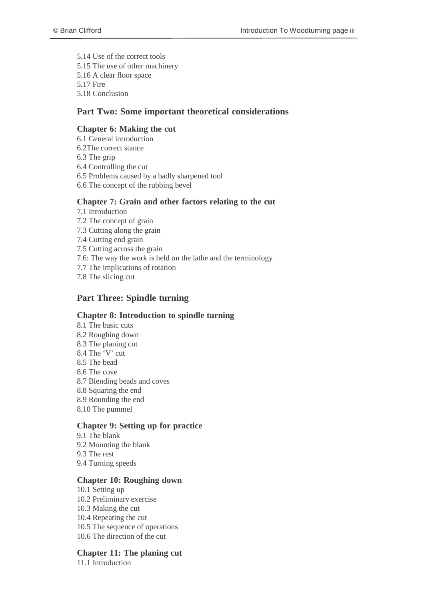5.14 Use of the correct tools 5.15 The use of other machinery 5.16 A clear floor space 5.17 Fire 5.18 Conclusion

#### **Part Two: Some important theoretical considerations**

#### **Chapter 6: Making the cut**

- 6.1 General introduction
- 6.2The correct stance
- 6.3 The grip
- 6.4 Controlling the cut
- 6.5 Problems caused by a badly sharpened tool
- 6.6 The concept of the rubbing bevel

#### **Chapter 7: Grain and other factors relating to the cut**

- 7.1 Introduction
- 7.2 The concept of grain
- 7.3 Cutting along the grain
- 7.4 Cutting end grain
- 7.5 Cutting across the grain
- 7.6: The way the work is held on the lathe and the terminology
- 7.7 The implications of rotation
- 7.8 The slicing cut

#### **Part Three: Spindle turning**

#### **Chapter 8: Introduction to spindle turning**

8.1 The basic cuts 8.2 Roughing down 8.3 The planing cut 8.4 The 'V' cut 8.5 The bead 8.6 The cove 8.7 Blending beads and coves 8.8 Squaring the end 8.9 Rounding the end 8.10 The pummel

#### **Chapter 9: Setting up for practice**

9.1 The blank 9.2 Mounting the blank 9.3 The rest 9.4 Turning speeds

#### **Chapter 10: Roughing down**

10.1 Setting up 10.2 Preliminary exercise 10.3 Making the cut 10.4 Repeating the cut 10.5 The sequence of operations 10.6 The direction of the cut

#### **Chapter 11: The planing cut**

11.1 Introduction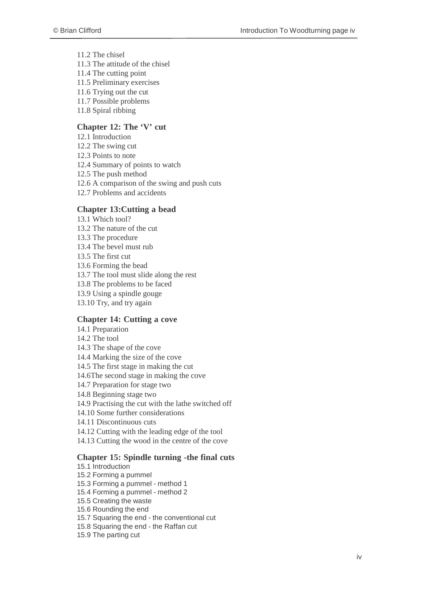11.2 The chisel 11.3 The attitude of the chisel 11.4 The cutting point 11.5 Preliminary exercises 11.6 Trying out the cut 11.7 Possible problems 11.8 Spiral ribbing

#### **Chapter 12: The 'V' cut**

12.1 Introduction 12.2 The swing cut 12.3 Points to note 12.4 Summary of points to watch 12.5 The push method 12.6 A comparison of the swing and push cuts 12.7 Problems and accidents

#### **Chapter 13:Cutting a bead**

13.1 Which tool? 13.2 The nature of the cut 13.3 The procedure 13.4 The bevel must rub 13.5 The first cut 13.6 Forming the bead 13.7 The tool must slide along the rest 13.8 The problems to be faced 13.9 Using a spindle gouge 13.10 Try, and try again

#### **Chapter 14: Cutting a cove**

14.1 Preparation 14.2 The tool 14.3 The shape of the cove 14.4 Marking the size of the cove 14.5 The first stage in making the cut 14.6The second stage in making the cove 14.7 Preparation for stage two 14.8 Beginning stage two 14.9 Practising the cut with the lathe switched off 14.10 Some further considerations 14.11 Discontinuous cuts 14.12 Cutting with the leading edge of the tool 14.13 Cutting the wood in the centre of the cove

#### **Chapter 15: Spindle turning -the final cuts**

15.1 Introduction 15.2 Forming a pummel 15.3 Forming a pummel - method 1 15.4 Forming a pummel - method 2 15.5 Creating the waste 15.6 Rounding the end 15.7 Squaring the end - the conventional cut 15.8 Squaring the end - the Raffan cut 15.9 The parting cut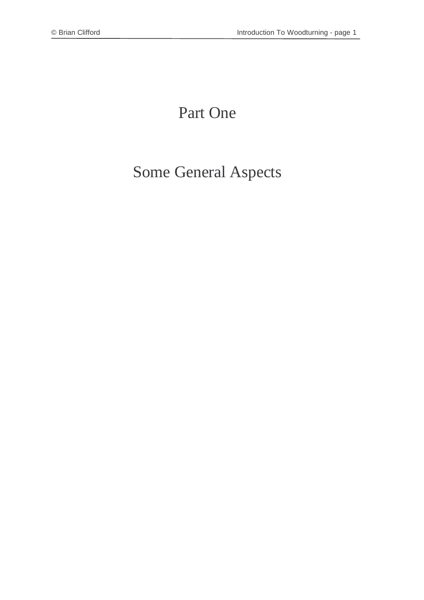# Part One

# Some General Aspects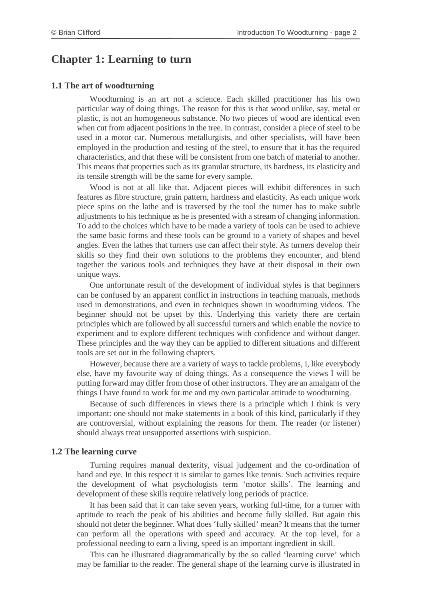### <span id="page-6-0"></span>**Chapter 1: Learning to turn**

#### **1.1 The art of woodturning**

Woodturning is an art not a science. Each skilled practitioner has his own particular way of doing things. The reason for this is that wood unlike, say, metal or plastic, is not an homogeneous substance. No two pieces of wood are identical even when cut from adjacent positions in the tree. In contrast, consider a piece of steel to be used in a motor car. Numerous metallurgists, and other specialists, will have been employed in the production and testing of the steel, to ensure that it has the required characteristics, and that these will be consistent from one batch of material to another. This means that properties such as its granular structure, its hardness, its elasticity and its tensile strength will be the same for every sample.

Wood is not at all like that. Adjacent pieces will exhibit differences in such features as fibre structure, grain pattern, hardness and elasticity. As each unique work piece spins on the lathe and is traversed by the tool the turner has to make subtle adjustments to his technique as he is presented with a stream of changing information. To add to the choices which have to be made a variety of tools can be used to achieve the same basic forms and these tools can be ground to a variety of shapes and bevel angles. Even the lathes that turners use can affect their style. As turners develop their skills so they find their own solutions to the problems they encounter, and blend together the various tools and techniques they have at their disposal in their own unique ways.

One unfortunate result of the development of individual styles is that beginners can be confused by an apparent conflict in instructions in teaching manuals, methods used in demonstrations, and even in techniques shown in woodturning videos. The beginner should not be upset by this. Underlying this variety there are certain principles which are followed by all successful turners and which enable the novice to experiment and to explore different techniques with confidence and without danger. These principles and the way they can be applied to different situations and different tools are set out in the following chapters.

However, because there are a variety of ways to tackle problems, I, like everybody else, have my favourite way of doing things. As a consequence the views I will be putting forward may differ from those of other instructors. They are an amalgam of the things I have found to work for me and my own particular attitude to woodturning.

Because of such differences in views there is a principle which I think is very important: one should not make statements in a book of this kind, particularly if they are controversial, without explaining the reasons for them. The reader (or listener) should always treat unsupported assertions with suspicion.

#### **1.2 The learning curve**

Turning requires manual dexterity, visual judgement and the co-ordination of hand and eye. In this respect it is similar to games like tennis. Such activities require the development of what psychologists term 'motor skills'. The learning and development of these skills require relatively long periods of practice.

It has been said that it can take seven years, working full-time, for a turner with aptitude to reach the peak of his abilities and become fully skilled. But again this should not deter the beginner. What does 'fully skilled' mean? It means that the turner can perform all the operations with speed and accuracy. At the top level, for a professional needing to earn a living, speed is an important ingredient in skill.

This can be illustrated diagrammatically by the so called 'learning curve' which may be familiar to the reader. The general shape of the learning curve is illustrated in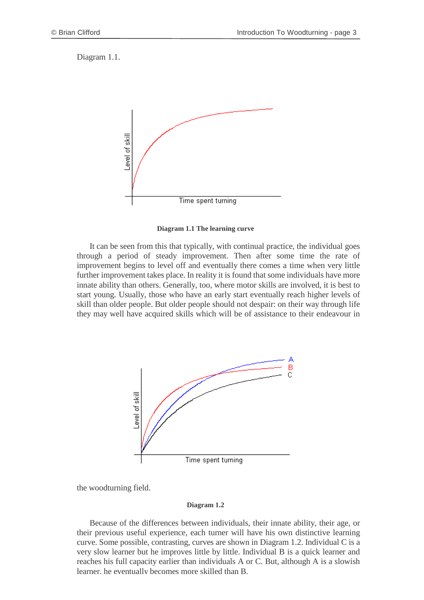Diagram 1.1.



**Diagram 1.1 The learning curve**

It can be seen from this that typically, with continual practice, the individual goes through a period of steady improvement. Then after some time the rate of improvement begins to level off and eventually there comes a time when very little further improvement takes place. In reality it is found that some individuals have more innate ability than others. Generally, too, where motor skills are involved, it is best to start young. Usually, those who have an early start eventually reach higher levels of skill than older people. But older people should not despair: on their way through life they may well have acquired skills which will be of assistance to their endeavour in



the woodturning field.

#### **Diagram 1.2**

Because of the differences between individuals, their innate ability, their age, or their previous useful experience, each turner will have his own distinctive learning curve. Some possible, contrasting, curves are shown in Diagram 1.2. Individual C is a very slow learner but he improves little by little. Individual B is a quick learner and reaches his full capacity earlier than individuals A or C. But, although A is a slowish learner, he eventually becomes more skilled than B.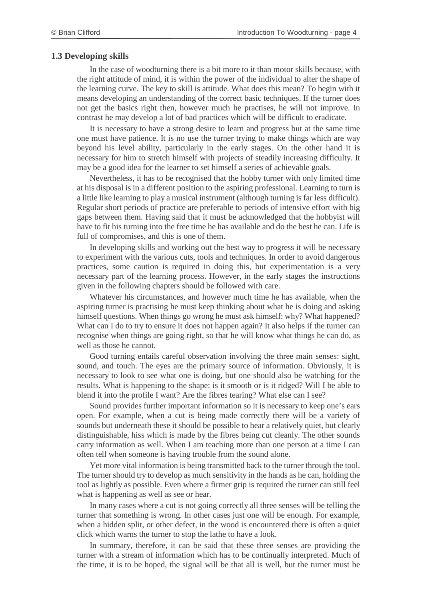#### **1.3 Developing skills**

In the case of woodturning there is a bit more to it than motor skills because, with the right attitude of mind, it is within the power of the individual to alter the shape of the learning curve. The key to skill is attitude. What does this mean? To begin with it means developing an understanding of the correct basic techniques. If the turner does not get the basics right then, however much he practises, he will not improve. In contrast he may develop a lot of bad practices which will be difficult to eradicate.

It is necessary to have a strong desire to learn and progress but at the same time one must have patience. It is no use the turner trying to make things which are way beyond his level ability, particularly in the early stages. On the other hand it is necessary for him to stretch himself with projects of steadily increasing difficulty. It may be a good idea for the learner to set himself a series of achievable goals.

Nevertheless, it has to be recognised that the hobby turner with only limited time at his disposal is in a different position to the aspiring professional. Learning to turn is a little like learning to play a musical instrument (although turning is far less difficult). Regular short periods of practice are preferable to periods of intensive effort with big gaps between them. Having said that it must be acknowledged that the hobbyist will have to fit his turning into the free time he has available and do the best he can. Life is full of compromises, and this is one of them.

In developing skills and working out the best way to progress it will be necessary to experiment with the various cuts, tools and techniques. In order to avoid dangerous practices, some caution is required in doing this, but experimentation is a very necessary part of the learning process. However, in the early stages the instructions given in the following chapters should be followed with care.

Whatever his circumstances, and however much time he has available, when the aspiring turner is practising he must keep thinking about what he is doing and asking himself questions. When things go wrong he must ask himself: why? What happened? What can I do to try to ensure it does not happen again? It also helps if the turner can recognise when things are going right, so that he will know what things he can do, as well as those he cannot.

Good turning entails careful observation involving the three main senses: sight, sound, and touch. The eyes are the primary source of information. Obviously, it is necessary to look to see what one is doing, but one should also be watching for the results. What is happening to the shape: is it smooth or is it ridged? Will I be able to blend it into the profile I want? Are the fibres tearing? What else can I see?

Sound provides further important information so it is necessary to keep one's ears open. For example, when a cut is being made correctly there will be a variety of sounds but underneath these it should be possible to hear a relatively quiet, but clearly distinguishable, hiss which is made by the fibres being cut cleanly. The other sounds carry information as well. When I am teaching more than one person at a time I can often tell when someone is having trouble from the sound alone.

Yet more vital information is being transmitted back to the turner through the tool. The turner should try to develop as much sensitivity in the hands as he can, holding the tool as lightly as possible. Even where a firmer grip is required the turner can still feel what is happening as well as see or hear.

In many cases where a cut is not going correctly all three senses will be telling the turner that something is wrong. In other cases just one will be enough. For example, when a hidden split, or other defect, in the wood is encountered there is often a quiet click which warns the turner to stop the lathe to have a look.

In summary, therefore, it can be said that these three senses are providing the turner with a stream of information which has to be continually interpreted. Much of the time, it is to be hoped, the signal will be that all is well, but the turner must be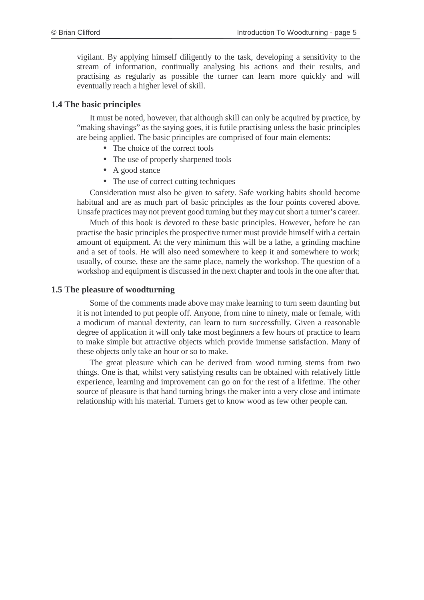vigilant. By applying himself diligently to the task, developing a sensitivity to the stream of information, continually analysing his actions and their results, and practising as regularly as possible the turner can learn more quickly and will eventually reach a higher level of skill.

#### **1.4 The basic principles**

It must be noted, however, that although skill can only be acquired by practice, by "making shavings" as the saying goes, it is futile practising unless the basic principles are being applied. The basic principles are comprised of four main elements:

- The choice of the correct tools
- The use of properly sharpened tools
- A good stance
- The use of correct cutting techniques

Consideration must also be given to safety. Safe working habits should become habitual and are as much part of basic principles as the four points covered above. Unsafe practices may not prevent good turning but they may cut short a turner's career.

Much of this book is devoted to these basic principles. However, before he can practise the basic principles the prospective turner must provide himself with a certain amount of equipment. At the very minimum this will be a lathe, a grinding machine and a set of tools. He will also need somewhere to keep it and somewhere to work; usually, of course, these are the same place, namely the workshop. The question of a workshop and equipment is discussed in the next chapter and toolsin the one after that.

#### **1.5 The pleasure of woodturning**

Some of the comments made above may make learning to turn seem daunting but it is not intended to put people off. Anyone, from nine to ninety, male or female, with a modicum of manual dexterity, can learn to turn successfully. Given a reasonable degree of application it will only take most beginners a few hours of practice to learn to make simple but attractive objects which provide immense satisfaction. Many of these objects only take an hour or so to make.

The great pleasure which can be derived from wood turning stems from two things. One is that, whilst very satisfying results can be obtained with relatively little experience, learning and improvement can go on for the rest of a lifetime. The other source of pleasure is that hand turning brings the maker into a very close and intimate relationship with his material. Turners get to know wood as few other people can.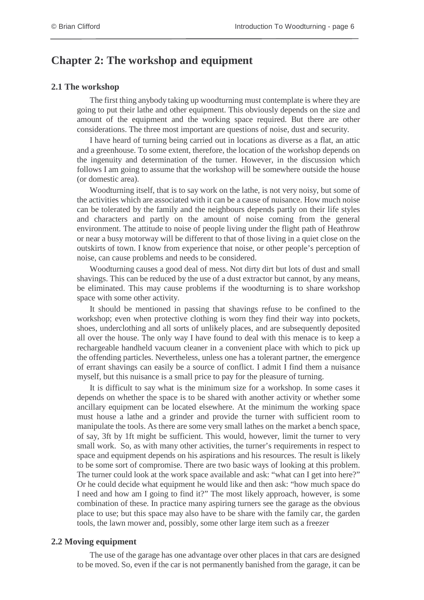### <span id="page-10-0"></span>**Chapter 2: The workshop and equipment**

#### **2.1 The workshop**

The first thing anybody taking up woodturning must contemplate is where they are going to put their lathe and other equipment. This obviously depends on the size and amount of the equipment and the working space required. But there are other considerations. The three most important are questions of noise, dust and security.

I have heard of turning being carried out in locations as diverse as a flat, an attic and a greenhouse. To some extent, therefore, the location of the workshop depends on the ingenuity and determination of the turner. However, in the discussion which follows I am going to assume that the workshop will be somewhere outside the house (or domestic area).

Woodturning itself, that is to say work on the lathe, is not very noisy, but some of the activities which are associated with it can be a cause of nuisance. How much noise can be tolerated by the family and the neighbours depends partly on their life styles and characters and partly on the amount of noise coming from the general environment. The attitude to noise of people living under the flight path of Heathrow or near a busy motorway will be different to that of those living in a quiet close on the outskirts of town. I know from experience that noise, or other people's perception of noise, can cause problems and needs to be considered.

Woodturning causes a good deal of mess. Not dirty dirt but lots of dust and small shavings. This can be reduced by the use of a dust extractor but cannot, by any means, be eliminated. This may cause problems if the woodturning is to share workshop space with some other activity.

It should be mentioned in passing that shavings refuse to be confined to the workshop; even when protective clothing is worn they find their way into pockets, shoes, underclothing and all sorts of unlikely places, and are subsequently deposited all over the house. The only way I have found to deal with this menace is to keep a rechargeable handheld vacuum cleaner in a convenient place with which to pick up the offending particles. Nevertheless, unless one has a tolerant partner, the emergence of errant shavings can easily be a source of conflict. I admit I find them a nuisance myself, but this nuisance is a small price to pay for the pleasure of turning.

It is difficult to say what is the minimum size for a workshop. In some cases it depends on whether the space is to be shared with another activity or whether some ancillary equipment can be located elsewhere. At the minimum the working space must house a lathe and a grinder and provide the turner with sufficient room to manipulate the tools. As there are some very small lathes on the market a bench space, of say, 3ft by 1ft might be sufficient. This would, however, limit the turner to very small work. So, as with many other activities, the turner's requirements in respect to space and equipment depends on his aspirations and his resources. The result is likely to be some sort of compromise. There are two basic ways of looking at this problem. The turner could look at the work space available and ask: "what can I get into here?" Or he could decide what equipment he would like and then ask: "how much space do I need and how am I going to find it?" The most likely approach, however, is some combination of these. In practice many aspiring turners see the garage as the obvious place to use; but this space may also have to be share with the family car, the garden tools, the lawn mower and, possibly, some other large item such as a freezer

#### **2.2 Moving equipment**

The use of the garage has one advantage over other places in that cars are designed to be moved. So, even if the car is not permanently banished from the garage, it can be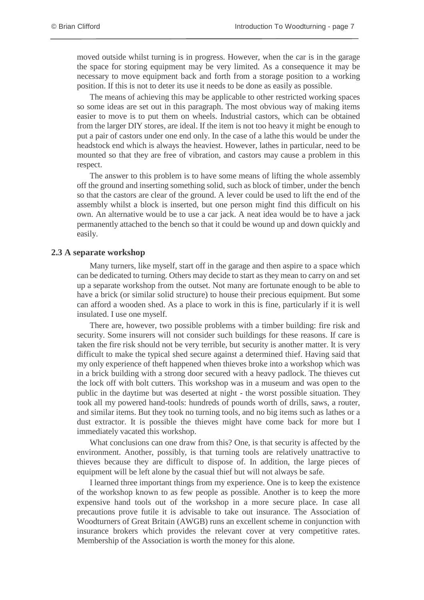moved outside whilst turning is in progress. However, when the car is in the garage the space for storing equipment may be very limited. As a consequence it may be necessary to move equipment back and forth from a storage position to a working position. If this is not to deter its use it needs to be done as easily as possible.

The means of achieving this may be applicable to other restricted working spaces so some ideas are set out in this paragraph. The most obvious way of making items easier to move is to put them on wheels. Industrial castors, which can be obtained from the larger DIY stores, are ideal. If the item is not too heavy it might be enough to put a pair of castors under one end only. In the case of a lathe this would be under the headstock end which is always the heaviest. However, lathes in particular, need to be mounted so that they are free of vibration, and castors may cause a problem in this respect.

The answer to this problem is to have some means of lifting the whole assembly off the ground and inserting something solid, such as block of timber, under the bench so that the castors are clear of the ground. A lever could be used to lift the end of the assembly whilst a block is inserted, but one person might find this difficult on his own. An alternative would be to use a car jack. A neat idea would be to have a jack permanently attached to the bench so that it could be wound up and down quickly and easily.

#### **2.3 A separate workshop**

Many turners, like myself, start off in the garage and then aspire to a space which can be dedicated to turning. Others may decide to start as they mean to carry on and set up a separate workshop from the outset. Not many are fortunate enough to be able to have a brick (or similar solid structure) to house their precious equipment. But some can afford a wooden shed. As a place to work in this is fine, particularly if it is well insulated. I use one myself.

There are, however, two possible problems with a timber building: fire risk and security. Some insurers will not consider such buildings for these reasons. If care is taken the fire risk should not be very terrible, but security is another matter. It is very difficult to make the typical shed secure against a determined thief. Having said that my only experience of theft happened when thieves broke into a workshop which was in a brick building with a strong door secured with a heavy padlock. The thieves cut the lock off with bolt cutters. This workshop was in a museum and was open to the public in the daytime but was deserted at night - the worst possible situation. They took all my powered hand-tools: hundreds of pounds worth of drills, saws, a router, and similar items. But they took no turning tools, and no big items such as lathes or a dust extractor. It is possible the thieves might have come back for more but I immediately vacated this workshop.

What conclusions can one draw from this? One, is that security is affected by the environment. Another, possibly, is that turning tools are relatively unattractive to thieves because they are difficult to dispose of. In addition, the large pieces of equipment will be left alone by the casual thief but will not always be safe.

I learned three important things from my experience. One is to keep the existence of the workshop known to as few people as possible. Another is to keep the more expensive hand tools out of the workshop in a more secure place. In case all precautions prove futile it is advisable to take out insurance. The Association of Woodturners of Great Britain (AWGB) runs an excellent scheme in conjunction with insurance brokers which provides the relevant cover at very competitive rates. Membership of the Association is worth the money for this alone.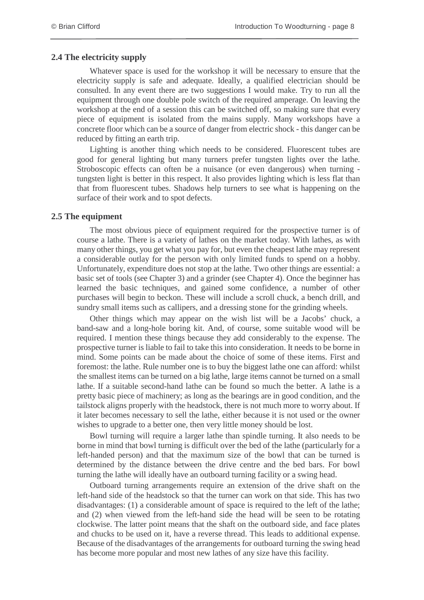#### **2.4 The electricity supply**

Whatever space is used for the workshop it will be necessary to ensure that the electricity supply is safe and adequate. Ideally, a qualified electrician should be consulted. In any event there are two suggestions I would make. Try to run all the equipment through one double pole switch of the required amperage. On leaving the workshop at the end of a session this can be switched off, so making sure that every piece of equipment is isolated from the mains supply. Many workshops have a concrete floor which can be a source of danger from electric shock - this danger can be reduced by fitting an earth trip.

Lighting is another thing which needs to be considered. Fluorescent tubes are good for general lighting but many turners prefer tungsten lights over the lathe. Stroboscopic effects can often be a nuisance (or even dangerous) when turning tungsten light is better in this respect. It also provides lighting which is less flat than that from fluorescent tubes. Shadows help turners to see what is happening on the surface of their work and to spot defects.

#### **2.5 The equipment**

The most obvious piece of equipment required for the prospective turner is of course a lathe. There is a variety of lathes on the market today. With lathes, as with many other things, you get what you pay for, but even the cheapest lathe may represent a considerable outlay for the person with only limited funds to spend on a hobby. Unfortunately, expenditure does not stop at the lathe. Two other things are essential: a basic set of tools (see Chapter 3) and a grinder (see Chapter 4). Once the beginner has learned the basic techniques, and gained some confidence, a number of other purchases will begin to beckon. These will include a scroll chuck, a bench drill, and sundry small items such as callipers, and a dressing stone for the grinding wheels.

Other things which may appear on the wish list will be a Jacobs' chuck, a band-saw and a long-hole boring kit. And, of course, some suitable wood will be required. I mention these things because they add considerably to the expense. The prospective turner is liable to fail to take this into consideration. It needs to be borne in mind. Some points can be made about the choice of some of these items. First and foremost: the lathe. Rule number one is to buy the biggest lathe one can afford: whilst the smallest items can be turned on a big lathe, large items cannot be turned on a small lathe. If a suitable second-hand lathe can be found so much the better. A lathe is a pretty basic piece of machinery; as long as the bearings are in good condition, and the tailstock aligns properly with the headstock, there is not much more to worry about. If it later becomes necessary to sell the lathe, either because it is not used or the owner wishes to upgrade to a better one, then very little money should be lost.

Bowl turning will require a larger lathe than spindle turning. It also needs to be borne in mind that bowl turning is difficult over the bed of the lathe (particularly for a left-handed person) and that the maximum size of the bowl that can be turned is determined by the distance between the drive centre and the bed bars. For bowl turning the lathe will ideally have an outboard turning facility or a swing head.

Outboard turning arrangements require an extension of the drive shaft on the left-hand side of the headstock so that the turner can work on that side. This has two disadvantages: (1) a considerable amount of space is required to the left of the lathe; and (2) when viewed from the left-hand side the head will be seen to be rotating clockwise. The latter point means that the shaft on the outboard side, and face plates and chucks to be used on it, have a reverse thread. This leads to additional expense. Because of the disadvantages of the arrangements for outboard turning the swing head has become more popular and most new lathes of any size have this facility.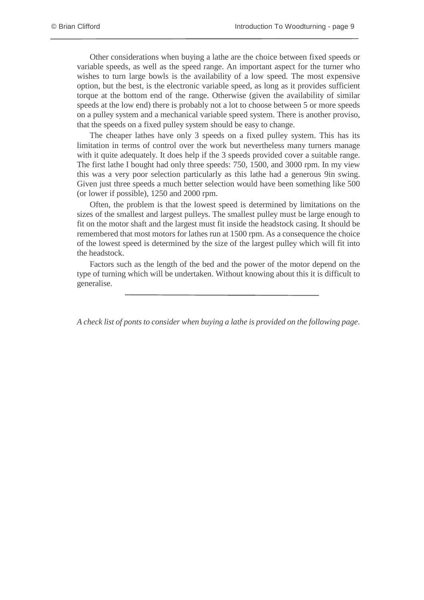Other considerations when buying a lathe are the choice between fixed speeds or variable speeds, as well as the speed range. An important aspect for the turner who wishes to turn large bowls is the availability of a low speed. The most expensive option, but the best, is the electronic variable speed, as long as it provides sufficient torque at the bottom end of the range. Otherwise (given the availability of similar speeds at the low end) there is probably not a lot to choose between 5 or more speeds on a pulley system and a mechanical variable speed system. There is another proviso, that the speeds on a fixed pulley system should be easy to change.

The cheaper lathes have only 3 speeds on a fixed pulley system. This has its limitation in terms of control over the work but nevertheless many turners manage with it quite adequately. It does help if the 3 speeds provided cover a suitable range. The first lathe I bought had only three speeds: 750, 1500, and 3000 rpm. In my view this was a very poor selection particularly as this lathe had a generous 9in swing. Given just three speeds a much better selection would have been something like 500 (or lower if possible), 1250 and 2000 rpm.

Often, the problem is that the lowest speed is determined by limitations on the sizes of the smallest and largest pulleys. The smallest pulley must be large enough to fit on the motor shaft and the largest must fit inside the headstock casing. It should be remembered that most motors for lathes run at 1500 rpm. As a consequence the choice of the lowest speed is determined by the size of the largest pulley which will fit into the headstock.

Factors such as the length of the bed and the power of the motor depend on the type of turning which will be undertaken. Without knowing about this it is difficult to generalise.

*A check list of ponts to consider when buying a lathe is provided on the following page*.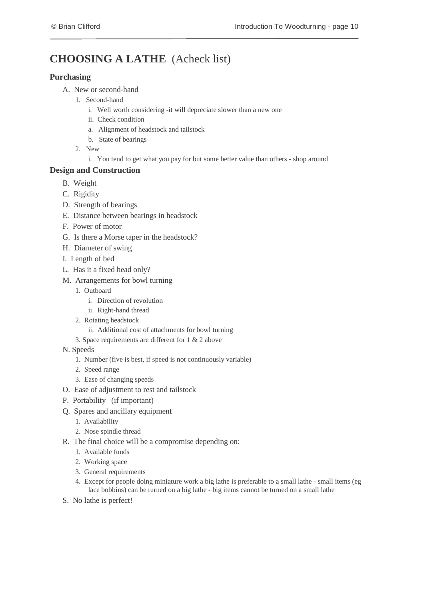# **CHOOSING A LATHE** (Acheck list)

#### **Purchasing**

- A. New or second-hand
	- 1. Second-hand
		- i. Well worth considering -it will depreciate slower than a new one
		- ii. Check condition
		- a. Alignment of headstock and tailstock
		- b. State of bearings
	- 2. New
		- i. You tend to get what you pay for but some better value than others shop around

#### **Design and Construction**

- B. Weight
- C. Rigidity
- D. Strength of bearings
- E. Distance between bearings in headstock
- F. Power of motor
- G. Is there a Morse taper in the headstock?
- H. Diameter of swing
- I. Length of bed
- L. Has it a fixed head only?
- M. Arrangements for bowl turning
	- 1. Outboard
		- i. Direction of revolution
		- ii. Right-hand thread
	- 2. Rotating headstock
		- ii. Additional cost of attachments for bowl turning
	- 3. Space requirements are different for 1 & 2 above
- N. Speeds
	- 1. Number (five is best, if speed is not continuously variable)
	- 2. Speed range
	- 3. Ease of changing speeds
- O. Ease of adjustment to rest and tailstock
- P. Portability (if important)
- Q. Spares and ancillary equipment
	- 1. Availability
		- 2. Nose spindle thread
- R. The final choice will be a compromise depending on:
	- 1. Available funds
	- 2. Working space
	- 3. General requirements
	- 4. Except for people doing miniature work a big lathe is preferable to a small lathe small items (eg lace bobbins) can be turned on a big lathe - big items cannot be turned on a small lathe
- S. No lathe is perfect!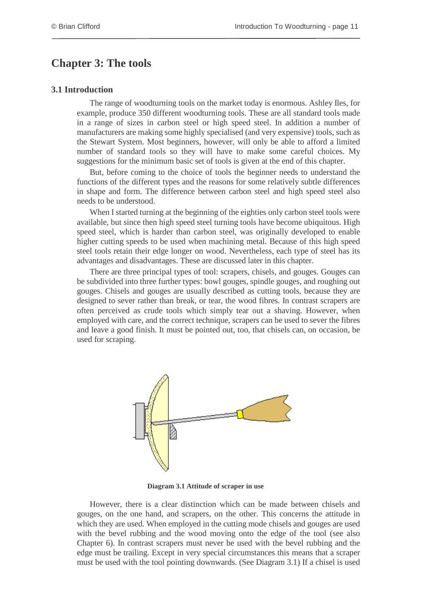# <span id="page-15-0"></span>**Chapter 3: The tools**

#### **3.1 Introduction**

The range of woodturning tools on the market today is enormous. Ashley Iles, for example, produce 350 different woodturning tools. These are all standard tools made in a range of sizes in carbon steel or high speed steel. In addition a number of manufacturers are making some highly specialised (and very expensive) tools, such as the Stewart System. Most beginners, however, will only be able to afford a limited number of standard tools so they will have to make some careful choices. My suggestions for the minimum basic set of tools is given at the end of this chapter.

But, before coming to the choice of tools the beginner needs to understand the functions of the different types and the reasons for some relatively subtle differences in shape and form. The difference between carbon steel and high speed steel also needs to be understood.

When I started turning at the beginning of the eighties only carbon steel tools were available, but since then high speed steel turning tools have become ubiquitous. High speed steel, which is harder than carbon steel, was originally developed to enable higher cutting speeds to be used when machining metal. Because of this high speed steel tools retain their edge longer on wood. Nevertheless, each type of steel has its advantages and disadvantages. These are discussed later in this chapter.

There are three principal types of tool: scrapers, chisels, and gouges. Gouges can be subdivided into three further types: bowl gouges, spindle gouges, and roughing out gouges. Chisels and gouges are usually described as cutting tools, because they are designed to sever rather than break, or tear, the wood fibres. In contrast scrapers are often perceived as crude tools which simply tear out a shaving. However, when employed with care, and the correct technique, scrapers can be used to sever the fibres and leave a good finish. It must be pointed out, too, that chisels can, on occasion, be used for scraping.



**Diagram 3.1 Attitude of scraper in use**

However, there is a clear distinction which can be made between chisels and gouges, on the one hand, and scrapers, on the other. This concerns the attitude in which they are used. When employed in the cutting mode chisels and gouges are used with the bevel rubbing and the wood moving onto the edge of the tool (see also Chapter 6). In contrast scrapers must never be used with the bevel rubbing and the edge must be trailing. Except in very special circumstances this means that a scraper must be used with the tool pointing downwards. (See Diagram 3.1) If a chisel is used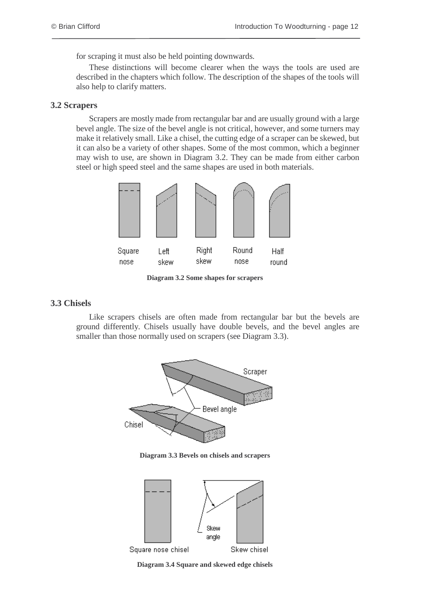for scraping it must also be held pointing downwards.

These distinctions will become clearer when the ways the tools are used are described in the chapters which follow. The description of the shapes of the tools will also help to clarify matters.

#### **3.2 Scrapers**

Scrapers are mostly made from rectangular bar and are usually ground with a large bevel angle. The size of the bevel angle is not critical, however, and some turners may make it relatively small. Like a chisel, the cutting edge of a scraper can be skewed, but it can also be a variety of other shapes. Some of the most common, which a beginner may wish to use, are shown in Diagram 3.2. They can be made from either carbon steel or high speed steel and the same shapes are used in both materials.



**Diagram 3.2 Some shapes for scrapers**

#### **3.3 Chisels**

Like scrapers chisels are often made from rectangular bar but the bevels are ground differently. Chisels usually have double bevels, and the bevel angles are smaller than those normally used on scrapers (see Diagram 3.3).



**Diagram 3.3 Bevels on chisels and scrapers**



**Diagram 3.4 Square and skewed edge chisels**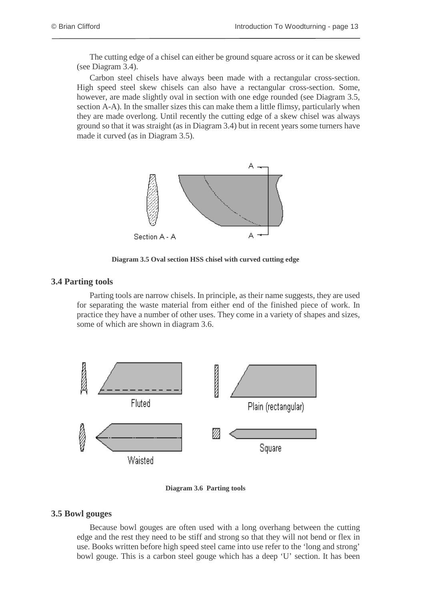The cutting edge of a chisel can either be ground square across or it can be skewed (see Diagram 3.4).

Carbon steel chisels have always been made with a rectangular cross-section. High speed steel skew chisels can also have a rectangular cross-section. Some, however, are made slightly oval in section with one edge rounded (see Diagram 3.5, section A-A). In the smaller sizes this can make them a little flimsy, particularly when they are made overlong. Until recently the cutting edge of a skew chisel was always ground so that it was straight (as in Diagram 3.4) but in recent years some turners have made it curved (as in Diagram 3.5).



**Diagram 3.5 Oval section HSS chisel with curved cutting edge**

#### **3.4 Parting tools**

Parting tools are narrow chisels. In principle, as their name suggests, they are used for separating the waste material from either end of the finished piece of work. In practice they have a number of other uses. They come in a variety of shapes and sizes, some of which are shown in diagram 3.6.



**Diagram 3.6 Parting tools**

#### **3.5 Bowl gouges**

Because bowl gouges are often used with a long overhang between the cutting edge and the rest they need to be stiff and strong so that they will not bend or flex in use. Books written before high speed steel came into use refer to the 'long and strong' bowl gouge. This is a carbon steel gouge which has a deep 'U' section. It has been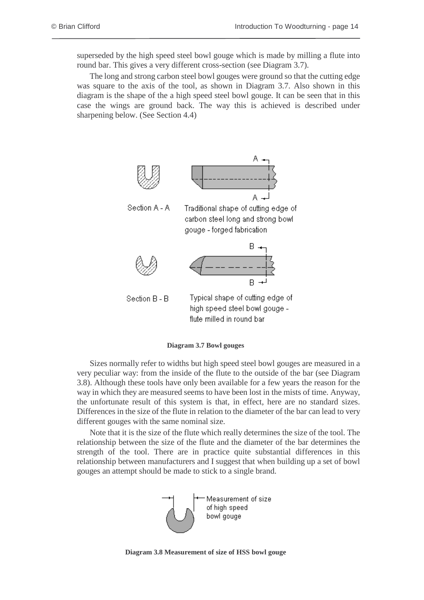superseded by the high speed steel bowl gouge which is made by milling a flute into round bar. This gives a very different cross-section (see Diagram 3.7).

The long and strong carbon steel bowl gouges were ground so that the cutting edge was square to the axis of the tool, as shown in Diagram 3.7. Also shown in this diagram is the shape of the a high speed steel bowl gouge. It can be seen that in this case the wings are ground back. The way this is achieved is described under sharpening below. (See Section 4.4)



**Diagram 3.7 Bowl gouges**

Sizes normally refer to widths but high speed steel bowl gouges are measured in a very peculiar way: from the inside of the flute to the outside of the bar (see Diagram 3.8). Although these tools have only been available for a few years the reason for the way in which they are measured seems to have been lost in the mists of time. Anyway, the unfortunate result of this system is that, in effect, here are no standard sizes. Differences in the size of the flute in relation to the diameter of the bar can lead to very different gouges with the same nominal size.

Note that it is the size of the flute which really determines the size of the tool. The relationship between the size of the flute and the diameter of the bar determines the strength of the tool. There are in practice quite substantial differences in this relationship between manufacturers and I suggest that when building up a set of bowl gouges an attempt should be made to stick to a single brand.



**Diagram 3.8 Measurement of size of HSS bowl gouge**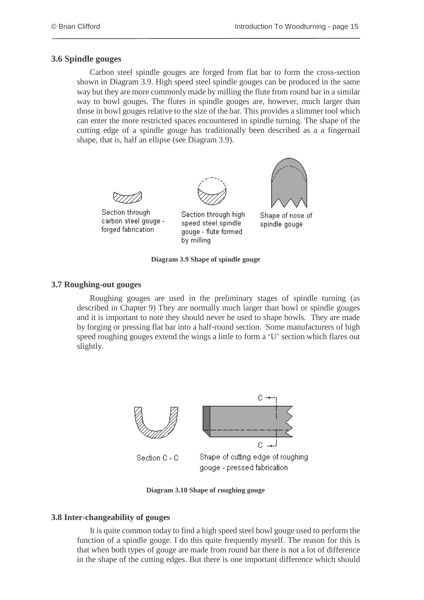#### **3.6 Spindle gouges**

Carbon steel spindle gouges are forged from flat bar to form the cross-section shown in Diagram 3.9. High speed steel spindle gouges can be produced in the same way but they are more commonly made by milling the flute from round bar in a similar way to bowl gouges. The flutes in spindle gouges are, however, much larger than those in bowl gouges relative to the size of the bar. This provides a slimmer tool which can enter the more restricted spaces encountered in spindle turning. The shape of the cutting edge of a spindle gouge has traditionally been described as a a fingernail shape, that is, half an ellipse (see Diagram 3.9).



Section through carbon steel gouge forged fabrication



Section through high speed steel spindle gouge - flute formed by milling



Shape of nose of spindle gouge

#### **Diagram 3.9 Shape of spindle gouge**

#### **3.7 Roughing-out gouges**

Roughing gouges are used in the preliminary stages of spindle turning (as described in Chapter 9) They are normally much larger than bowl or spindle gouges and it is important to note they should never be used to shape bowls. They are made by forging or pressing flat bar into a half-round section. Some manufacturers of high speed roughing gouges extend the wings a little to form a 'U' section which flares out slightly.



**Diagram 3.10 Shape of roughing gouge**

#### **3.8 Inter-changeability of gouges**

It is quite common today to find a high speed steel bowl gouge used to perform the function of a spindle gouge. I do this quite frequently myself. The reason for this is that when both types of gouge are made from round bar there is not a lot of difference in the shape of the cutting edges. But there is one important difference which should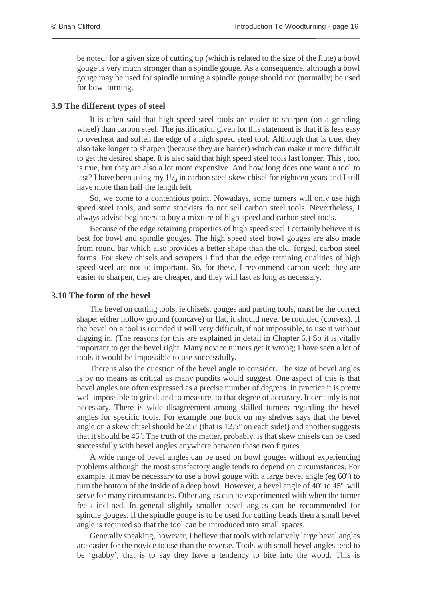be noted: for a given size of cutting tip (which is related to the size of the flute) a bowl gouge is very much stronger than a spindle gouge. As a consequence, although a bowl gouge may be used for spindle turning a spindle gouge should not (normally) be used for bowl turning.

#### **3.9 The different types of steel**

It is often said that high speed steel tools are easier to sharpen (on a grinding wheel) than carbon steel. The justification given for this statement is that it is less easy to overheat and soften the edge of a high speed steel tool. Although that is true, they also take longer to sharpen (because they are harder) which can make it more difficult to get the desired shape. It is also said that high speed steel tools last longer. This , too, is true, but they are also a lot more expensive. And how long does one want a tool to last? I have been using my  $1\frac{1}{4}$  in carbon steel skew chisel for eighteen years and I still have more than half the length left.

So, we come to a contentious point. Nowadays, some turners will only use high speed steel tools, and some stockists do not sell carbon steel tools. Nevertheless, I always advise beginners to buy a mixture of high speed and carbon steel tools.

Because of the edge retaining properties of high speed steel I certainly believe it is best for bowl and spindle gouges. The high speed steel bowl gouges are also made from round bar which also provides a better shape than the old, forged, carbon steel forms. For skew chisels and scrapers I find that the edge retaining qualities of high speed steel are not so important. So, for these, I recommend carbon steel; they are easier to sharpen, they are cheaper, and they will last as long as necessary.

#### **3.10 The form of the bevel**

The bevel on cutting tools, ie chisels, gouges and parting tools, must be the correct shape: either hollow ground (concave) or flat, it should never be rounded (convex). If the bevel on a tool is rounded it will very difficult, if not impossible, to use it without digging in. (The reasons for this are explained in detail in Chapter 6.) So it is vitally important to get the bevel right. Many novice turners get it wrong; I have seen a lot of tools it would be impossible to use successfully.

There is also the question of the bevel angle to consider. The size of bevel angles is by no means as critical as many pundits would suggest. One aspect of this is that bevel angles are often expressed as a precise number of degrees. In practice it is pretty well impossible to grind, and to measure, to that degree of accuracy. It certainly is not necessary. There is wide disagreement among skilled turners regarding the bevel angles for specific tools. For example one book on my shelves says that the bevel angle on a skew chisel should be 25° (that is 12.5° on each side!) and another suggests that it should be 45°. The truth of the matter, probably, is that skew chisels can be used successfully with bevel angles anywhere between these two figures

A wide range of bevel angles can be used on bowl gouges without experiencing problems although the most satisfactory angle tends to depend on circumstances. For example, it may be necessary to use a bowl gouge with a large bevel angle (eg 60°) to turn the bottom of the inside of a deep bowl. However, a bevel angle of  $40^{\circ}$  to  $45^{\circ}$  will serve for many circumstances. Other angles can be experimented with when the turner feels inclined. In general slightly smaller bevel angles can be recommended for spindle gouges. If the spindle gouge is to be used for cutting beads then a small bevel angle is required so that the tool can be introduced into small spaces.

Generally speaking, however, I believe that tools with relatively large bevel angles are easier for the novice to use than the reverse. Tools with small bevel angles tend to be 'grabby', that is to say they have a tendency to bite into the wood. This is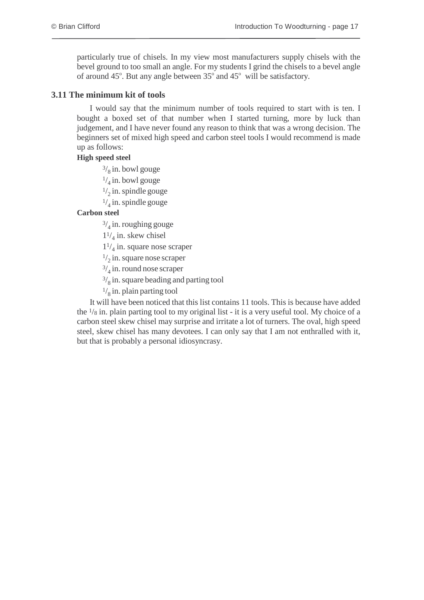particularly true of chisels. In my view most manufacturers supply chisels with the bevel ground to too small an angle. For my students I grind the chisels to a bevel angle of around  $45^\circ$ . But any angle between  $35^\circ$  and  $45^\circ$  will be satisfactory.

#### **3.11 The minimum kit of tools**

I would say that the minimum number of tools required to start with is ten. I bought a boxed set of that number when I started turning, more by luck than judgement, and I have never found any reason to think that was a wrong decision. The beginners set of mixed high speed and carbon steel tools I would recommend is made up as follows:

#### **High speed steel**

 $\frac{3}{8}$  in. bowl gouge

 $\frac{1}{4}$  in. bowl gouge

 $\frac{1}{2}$  in. spindle gouge

 $\frac{1}{4}$  in. spindle gouge

#### **Carbon steel**

 $\frac{3}{4}$  in. roughing gouge

 $1\frac{1}{4}$  in. skew chisel

 $1\frac{1}{4}$  in. square nose scraper

 $\frac{1}{2}$  in. square nose scraper

 $\frac{3}{4}$  in. round nose scraper

 $3/8$  in. square beading and parting tool

 $\frac{1}{8}$  in. plain parting tool

It will have been noticed that this list contains 11 tools. This is because have added the <sup>1</sup>/<sup>8</sup> in. plain parting tool to my original list - it is a very useful tool. My choice of a carbon steel skew chisel may surprise and irritate a lot of turners. The oval, high speed steel, skew chisel has many devotees. I can only say that I am not enthralled with it, but that is probably a personal idiosyncrasy.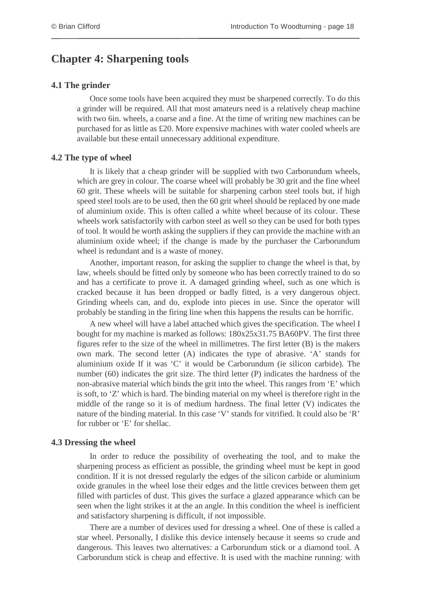### <span id="page-22-0"></span>**Chapter 4: Sharpening tools**

#### **4.1 The grinder**

Once some tools have been acquired they must be sharpened correctly. To do this a grinder will be required. All that most amateurs need is a relatively cheap machine with two 6in. wheels, a coarse and a fine. At the time of writing new machines can be purchased for as little as £20. More expensive machines with water cooled wheels are available but these entail unnecessary additional expenditure.

#### **4.2 The type of wheel**

It is likely that a cheap grinder will be supplied with two Carborundum wheels, which are grey in colour. The coarse wheel will probably be 30 grit and the fine wheel 60 grit. These wheels will be suitable for sharpening carbon steel tools but, if high speed steel tools are to be used, then the 60 grit wheel should be replaced by one made of aluminium oxide. This is often called a white wheel because of its colour. These wheels work satisfactorily with carbon steel as well so they can be used for both types of tool. It would be worth asking the suppliers if they can provide the machine with an aluminium oxide wheel; if the change is made by the purchaser the Carborundum wheel is redundant and is a waste of money.

Another, important reason, for asking the supplier to change the wheel is that, by law, wheels should be fitted only by someone who has been correctly trained to do so and has a certificate to prove it. A damaged grinding wheel, such as one which is cracked because it has been dropped or badly fitted, is a very dangerous object. Grinding wheels can, and do, explode into pieces in use. Since the operator will probably be standing in the firing line when this happens the results can be horrific.

A new wheel will have a label attached which gives the specification. The wheel I bought for my machine is marked as follows: 180x25x31.75 BA60PV. The first three figures refer to the size of the wheel in millimetres. The first letter (B) is the makers own mark. The second letter (A) indicates the type of abrasive. 'A' stands for aluminium oxide If it was 'C' it would be Carborundum (ie silicon carbide). The number (60) indicates the grit size. The third letter (P) indicates the hardness of the non-abrasive material which binds the grit into the wheel. This ranges from 'E' which is soft, to 'Z' which is hard. The binding material on my wheel is therefore right in the middle of the range so it is of medium hardness. The final letter (V) indicates the nature of the binding material. In this case 'V' stands for vitrified. It could also be 'R' for rubber or 'E' for shellac.

#### **4.3 Dressing the wheel**

In order to reduce the possibility of overheating the tool, and to make the sharpening process as efficient as possible, the grinding wheel must be kept in good condition. If it is not dressed regularly the edges of the silicon carbide or aluminium oxide granules in the wheel lose their edges and the little crevices between them get filled with particles of dust. This gives the surface a glazed appearance which can be seen when the light strikes it at the an angle. In this condition the wheel is inefficient and satisfactory sharpening is difficult, if not impossible.

There are a number of devices used for dressing a wheel. One of these is called a star wheel. Personally, I dislike this device intensely because it seems so crude and dangerous. This leaves two alternatives: a Carborundum stick or a diamond tool. A Carborundum stick is cheap and effective. It is used with the machine running: with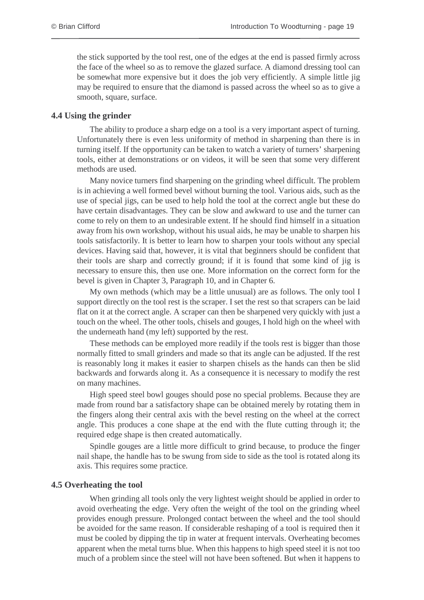the stick supported by the tool rest, one of the edges at the end is passed firmly across the face of the wheel so as to remove the glazed surface. A diamond dressing tool can be somewhat more expensive but it does the job very efficiently. A simple little jig may be required to ensure that the diamond is passed across the wheel so as to give a smooth, square, surface.

#### **4.4 Using the grinder**

The ability to produce a sharp edge on a tool is a very important aspect of turning. Unfortunately there is even less uniformity of method in sharpening than there is in turning itself. If the opportunity can be taken to watch a variety of turners' sharpening tools, either at demonstrations or on videos, it will be seen that some very different methods are used.

Many novice turners find sharpening on the grinding wheel difficult. The problem is in achieving a well formed bevel without burning the tool. Various aids, such as the use of special jigs, can be used to help hold the tool at the correct angle but these do have certain disadvantages. They can be slow and awkward to use and the turner can come to rely on them to an undesirable extent. If he should find himself in a situation away from his own workshop, without his usual aids, he may be unable to sharpen his tools satisfactorily. It is better to learn how to sharpen your tools without any special devices. Having said that, however, it is vital that beginners should be confident that their tools are sharp and correctly ground; if it is found that some kind of jig is necessary to ensure this, then use one. More information on the correct form for the bevel is given in Chapter 3, Paragraph 10, and in Chapter 6.

My own methods (which may be a little unusual) are as follows. The only tool I support directly on the tool rest is the scraper. I set the rest so that scrapers can be laid flat on it at the correct angle. A scraper can then be sharpened very quickly with just a touch on the wheel. The other tools, chisels and gouges, I hold high on the wheel with the underneath hand (my left) supported by the rest.

These methods can be employed more readily if the tools rest is bigger than those normally fitted to small grinders and made so that its angle can be adjusted. If the rest is reasonably long it makes it easier to sharpen chisels as the hands can then be slid backwards and forwards along it. As a consequence it is necessary to modify the rest on many machines.

High speed steel bowl gouges should pose no special problems. Because they are made from round bar a satisfactory shape can be obtained merely by rotating them in the fingers along their central axis with the bevel resting on the wheel at the correct angle. This produces a cone shape at the end with the flute cutting through it; the required edge shape is then created automatically.

Spindle gouges are a little more difficult to grind because, to produce the finger nail shape, the handle has to be swung from side to side as the tool is rotated along its axis. This requires some practice.

#### **4.5 Overheating the tool**

When grinding all tools only the very lightest weight should be applied in order to avoid overheating the edge. Very often the weight of the tool on the grinding wheel provides enough pressure. Prolonged contact between the wheel and the tool should be avoided for the same reason. If considerable reshaping of a tool is required then it must be cooled by dipping the tip in water at frequent intervals. Overheating becomes apparent when the metal turns blue. When this happens to high speed steel it is not too much of a problem since the steel will not have been softened. But when it happens to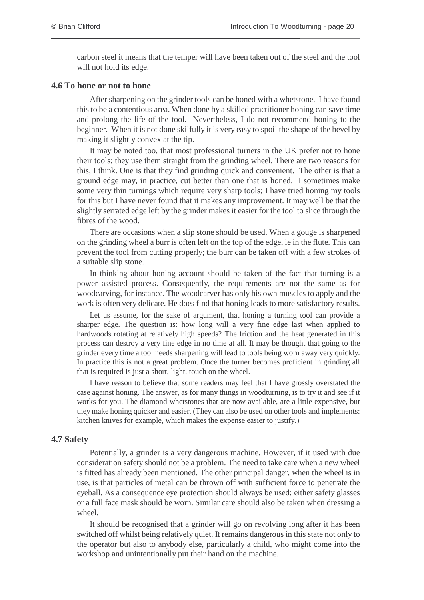carbon steel it means that the temper will have been taken out of the steel and the tool will not hold its edge.

#### **4.6 To hone or not to hone**

After sharpening on the grinder tools can be honed with a whetstone. I have found this to be a contentious area. When done by a skilled practitioner honing can save time and prolong the life of the tool. Nevertheless, I do not recommend honing to the beginner. When it is not done skilfully it is very easy to spoil the shape of the bevel by making it slightly convex at the tip.

It may be noted too, that most professional turners in the UK prefer not to hone their tools; they use them straight from the grinding wheel. There are two reasons for this, I think. One is that they find grinding quick and convenient. The other is that a ground edge may, in practice, cut better than one that is honed. I sometimes make some very thin turnings which require very sharp tools; I have tried honing my tools for this but I have never found that it makes any improvement. It may well be that the slightly serrated edge left by the grinder makes it easier for the tool to slice through the fibres of the wood.

There are occasions when a slip stone should be used. When a gouge is sharpened on the grinding wheel a burr is often left on the top of the edge, ie in the flute. This can prevent the tool from cutting properly; the burr can be taken off with a few strokes of a suitable slip stone.

In thinking about honing account should be taken of the fact that turning is a power assisted process. Consequently, the requirements are not the same as for woodcarving, for instance. The woodcarver has only his own muscles to apply and the work is often very delicate. He does find that honing leads to more satisfactory results.

Let us assume, for the sake of argument, that honing a turning tool can provide a sharper edge. The question is: how long will a very fine edge last when applied to hardwoods rotating at relatively high speeds? The friction and the heat generated in this process can destroy a very fine edge in no time at all. It may be thought that going to the grinder every time a tool needs sharpening will lead to tools being worn away very quickly. In practice this is not a great problem. Once the turner becomes proficient in grinding all that is required is just a short, light, touch on the wheel.

I have reason to believe that some readers may feel that I have grossly overstated the case against honing. The answer, as for many things in woodturning, is to try it and see if it works for you. The diamond whetstones that are now available, are a little expensive, but they make honing quicker and easier. (They can also be used on other tools and implements: kitchen knives for example, which makes the expense easier to justify.)

#### **4.7 Safety**

Potentially, a grinder is a very dangerous machine. However, if it used with due consideration safety should not be a problem. The need to take care when a new wheel is fitted has already been mentioned. The other principal danger, when the wheel is in use, is that particles of metal can be thrown off with sufficient force to penetrate the eyeball. As a consequence eye protection should always be used: either safety glasses or a full face mask should be worn. Similar care should also be taken when dressing a wheel.

It should be recognised that a grinder will go on revolving long after it has been switched off whilst being relatively quiet. It remains dangerous in this state not only to the operator but also to anybody else, particularly a child, who might come into the workshop and unintentionally put their hand on the machine.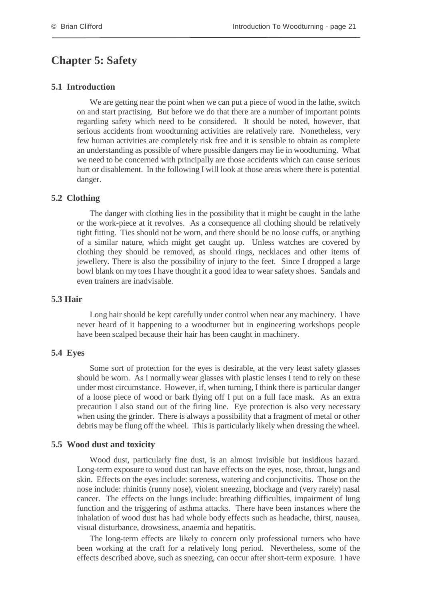## <span id="page-25-0"></span>**Chapter 5: Safety**

#### **5.1 Introduction**

We are getting near the point when we can put a piece of wood in the lathe, switch on and start practising. But before we do that there are a number of important points regarding safety which need to be considered. It should be noted, however, that serious accidents from woodturning activities are relatively rare. Nonetheless, very few human activities are completely risk free and it is sensible to obtain as complete an understanding as possible of where possible dangers may lie in woodturning. What we need to be concerned with principally are those accidents which can cause serious hurt or disablement. In the following I will look at those areas where there is potential danger.

#### **5.2 Clothing**

The danger with clothing lies in the possibility that it might be caught in the lathe or the work-piece at it revolves. As a consequence all clothing should be relatively tight fitting. Ties should not be worn, and there should be no loose cuffs, or anything of a similar nature, which might get caught up. Unless watches are covered by clothing they should be removed, as should rings, necklaces and other items of jewellery. There is also the possibility of injury to the feet. Since I dropped a large bowl blank on my toes I have thought it a good idea to wear safety shoes. Sandals and even trainers are inadvisable.

#### **5.3 Hair**

Long hair should be kept carefully under control when near any machinery. I have never heard of it happening to a woodturner but in engineering workshops people have been scalped because their hair has been caught in machinery.

#### **5.4 Eyes**

Some sort of protection for the eyes is desirable, at the very least safety glasses should be worn. As I normally wear glasses with plastic lenses I tend to rely on these under most circumstance. However, if, when turning, I think there is particular danger of a loose piece of wood or bark flying off I put on a full face mask. As an extra precaution I also stand out of the firing line. Eye protection is also very necessary when using the grinder. There is always a possibility that a fragment of metal or other debris may be flung off the wheel. This is particularly likely when dressing the wheel.

#### **5.5 Wood dust and toxicity**

Wood dust, particularly fine dust, is an almost invisible but insidious hazard. Long-term exposure to wood dust can have effects on the eyes, nose, throat, lungs and skin. Effects on the eyes include: soreness, watering and conjunctivitis. Those on the nose include: rhinitis (runny nose), violent sneezing, blockage and (very rarely) nasal cancer. The effects on the lungs include: breathing difficulties, impairment of lung function and the triggering of asthma attacks. There have been instances where the inhalation of wood dust has had whole body effects such as headache, thirst, nausea, visual disturbance, drowsiness, anaemia and hepatitis.

The long-term effects are likely to concern only professional turners who have been working at the craft for a relatively long period. Nevertheless, some of the effects described above, such as sneezing, can occur after short-term exposure. I have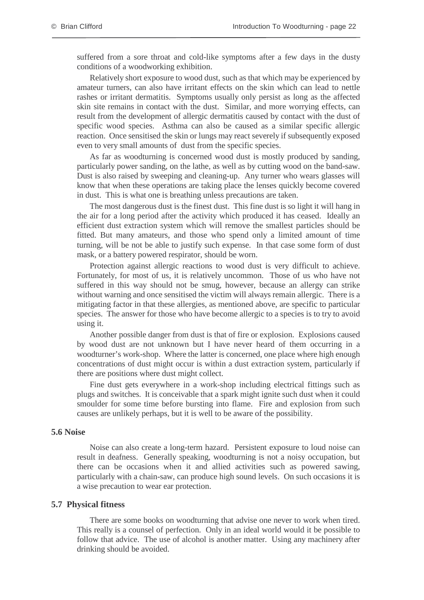suffered from a sore throat and cold-like symptoms after a few days in the dusty conditions of a woodworking exhibition.

Relatively short exposure to wood dust, such as that which may be experienced by amateur turners, can also have irritant effects on the skin which can lead to nettle rashes or irritant dermatitis. Symptoms usually only persist as long as the affected skin site remains in contact with the dust. Similar, and more worrying effects, can result from the development of allergic dermatitis caused by contact with the dust of specific wood species. Asthma can also be caused as a similar specific allergic reaction. Once sensitised the skin or lungs may react severely if subsequently exposed even to very small amounts of dust from the specific species.

As far as woodturning is concerned wood dust is mostly produced by sanding, particularly power sanding, on the lathe, as well as by cutting wood on the band-saw. Dust is also raised by sweeping and cleaning-up. Any turner who wears glasses will know that when these operations are taking place the lenses quickly become covered in dust. This is what one is breathing unless precautions are taken.

The most dangerous dust is the finest dust. This fine dust is so light it will hang in the air for a long period after the activity which produced it has ceased. Ideally an efficient dust extraction system which will remove the smallest particles should be fitted. But many amateurs, and those who spend only a limited amount of time turning, will be not be able to justify such expense. In that case some form of dust mask, or a battery powered respirator, should be worn.

Protection against allergic reactions to wood dust is very difficult to achieve. Fortunately, for most of us, it is relatively uncommon. Those of us who have not suffered in this way should not be smug, however, because an allergy can strike without warning and once sensitised the victim will always remain allergic. There is a mitigating factor in that these allergies, as mentioned above, are specific to particular species. The answer for those who have become allergic to a species is to try to avoid using it.

Another possible danger from dust is that of fire or explosion. Explosions caused by wood dust are not unknown but I have never heard of them occurring in a woodturner's work-shop. Where the latter is concerned, one place where high enough concentrations of dust might occur is within a dust extraction system, particularly if there are positions where dust might collect.

Fine dust gets everywhere in a work-shop including electrical fittings such as plugs and switches. It is conceivable that a spark might ignite such dust when it could smoulder for some time before bursting into flame. Fire and explosion from such causes are unlikely perhaps, but it is well to be aware of the possibility.

#### **5.6 Noise**

Noise can also create a long-term hazard. Persistent exposure to loud noise can result in deafness. Generally speaking, woodturning is not a noisy occupation, but there can be occasions when it and allied activities such as powered sawing, particularly with a chain-saw, can produce high sound levels. On such occasions it is a wise precaution to wear ear protection.

#### **5.7 Physical fitness**

There are some books on woodturning that advise one never to work when tired. This really is a counsel of perfection. Only in an ideal world would it be possible to follow that advice. The use of alcohol is another matter. Using any machinery after drinking should be avoided.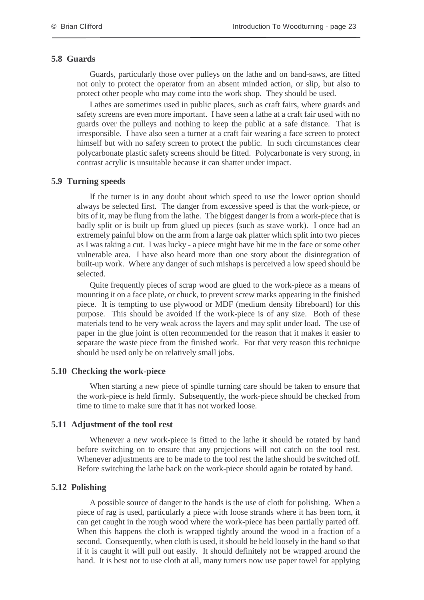#### **5.8 Guards**

Guards, particularly those over pulleys on the lathe and on band-saws, are fitted not only to protect the operator from an absent minded action, or slip, but also to protect other people who may come into the work shop. They should be used.

Lathes are sometimes used in public places, such as craft fairs, where guards and safety screens are even more important. I have seen a lathe at a craft fair used with no guards over the pulleys and nothing to keep the public at a safe distance. That is irresponsible. I have also seen a turner at a craft fair wearing a face screen to protect himself but with no safety screen to protect the public. In such circumstances clear polycarbonate plastic safety screens should be fitted. Polycarbonate is very strong, in contrast acrylic is unsuitable because it can shatter under impact.

#### **5.9 Turning speeds**

If the turner is in any doubt about which speed to use the lower option should always be selected first. The danger from excessive speed is that the work-piece, or bits of it, may be flung from the lathe. The biggest danger is from a work-piece that is badly split or is built up from glued up pieces (such as stave work). I once had an extremely painful blow on the arm from a large oak platter which split into two pieces as I was taking a cut. I was lucky - a piece might have hit me in the face or some other vulnerable area. I have also heard more than one story about the disintegration of built-up work. Where any danger of such mishaps is perceived a low speed should be selected.

Quite frequently pieces of scrap wood are glued to the work-piece as a means of mounting it on a face plate, or chuck, to prevent screw marks appearing in the finished piece. It is tempting to use plywood or MDF (medium density fibreboard) for this purpose. This should be avoided if the work-piece is of any size. Both of these materials tend to be very weak across the layers and may split under load. The use of paper in the glue joint is often recommended for the reason that it makes it easier to separate the waste piece from the finished work. For that very reason this technique should be used only be on relatively small jobs.

#### **5.10 Checking the work-piece**

When starting a new piece of spindle turning care should be taken to ensure that the work-piece is held firmly. Subsequently, the work-piece should be checked from time to time to make sure that it has not worked loose.

#### **5.11 Adjustment of the tool rest**

Whenever a new work-piece is fitted to the lathe it should be rotated by hand before switching on to ensure that any projections will not catch on the tool rest. Whenever adjustments are to be made to the tool rest the lathe should be switched off. Before switching the lathe back on the work-piece should again be rotated by hand.

#### **5.12 Polishing**

A possible source of danger to the hands is the use of cloth for polishing. When a piece of rag is used, particularly a piece with loose strands where it has been torn, it can get caught in the rough wood where the work-piece has been partially parted off. When this happens the cloth is wrapped tightly around the wood in a fraction of a second. Consequently, when cloth is used, it should be held loosely in the hand so that if it is caught it will pull out easily. It should definitely not be wrapped around the hand. It is best not to use cloth at all, many turners now use paper towel for applying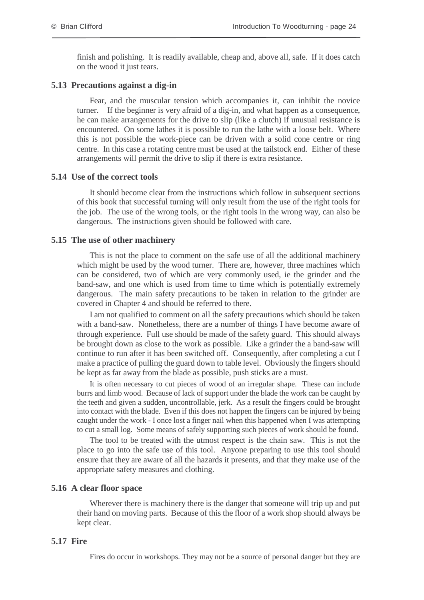finish and polishing. It is readily available, cheap and, above all, safe. If it does catch on the wood it just tears.

#### **5.13 Precautions against a dig-in**

Fear, and the muscular tension which accompanies it, can inhibit the novice turner. If the beginner is very afraid of a dig-in, and what happen as a consequence, he can make arrangements for the drive to slip (like a clutch) if unusual resistance is encountered. On some lathes it is possible to run the lathe with a loose belt. Where this is not possible the work-piece can be driven with a solid cone centre or ring centre. In this case a rotating centre must be used at the tailstock end. Either of these arrangements will permit the drive to slip if there is extra resistance.

#### **5.14 Use of the correct tools**

It should become clear from the instructions which follow in subsequent sections of this book that successful turning will only result from the use of the right tools for the job. The use of the wrong tools, or the right tools in the wrong way, can also be dangerous. The instructions given should be followed with care.

#### **5.15 The use of other machinery**

This is not the place to comment on the safe use of all the additional machinery which might be used by the wood turner. There are, however, three machines which can be considered, two of which are very commonly used, ie the grinder and the band-saw, and one which is used from time to time which is potentially extremely dangerous. The main safety precautions to be taken in relation to the grinder are covered in Chapter 4 and should be referred to there.

I am not qualified to comment on all the safety precautions which should be taken with a band-saw. Nonetheless, there are a number of things I have become aware of through experience. Full use should be made of the safety guard. This should always be brought down as close to the work as possible. Like a grinder the a band-saw will continue to run after it has been switched off. Consequently, after completing a cut I make a practice of pulling the guard down to table level. Obviously the fingers should be kept as far away from the blade as possible, push sticks are a must.

It is often necessary to cut pieces of wood of an irregular shape. These can include burrs and limb wood. Because of lack of support under the blade the work can be caught by the teeth and given a sudden, uncontrollable, jerk. As a result the fingers could be brought into contact with the blade. Even if this does not happen the fingers can be injured by being caught under the work - I once lost a finger nail when this happened when I was attempting to cut a small log. Some means of safely supporting such pieces of work should be found.

The tool to be treated with the utmost respect is the chain saw. This is not the place to go into the safe use of this tool. Anyone preparing to use this tool should ensure that they are aware of all the hazards it presents, and that they make use of the appropriate safety measures and clothing.

#### **5.16 A clear floor space**

Wherever there is machinery there is the danger that someone will trip up and put their hand on moving parts. Because of this the floor of a work shop should always be kept clear.

#### **5.17 Fire**

Fires do occur in workshops. They may not be a source of personal danger but they are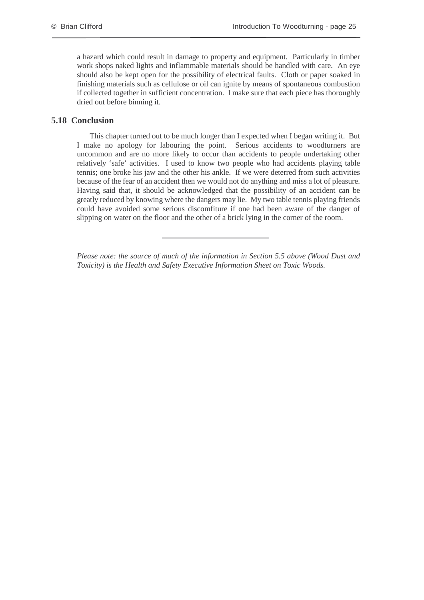a hazard which could result in damage to property and equipment. Particularly in timber work shops naked lights and inflammable materials should be handled with care. An eye should also be kept open for the possibility of electrical faults. Cloth or paper soaked in finishing materials such as cellulose or oil can ignite by means of spontaneous combustion if collected together in sufficient concentration. I make sure that each piece has thoroughly dried out before binning it.

#### **5.18 Conclusion**

This chapter turned out to be much longer than I expected when I began writing it. But I make no apology for labouring the point. Serious accidents to woodturners are uncommon and are no more likely to occur than accidents to people undertaking other relatively 'safe' activities. I used to know two people who had accidents playing table tennis; one broke his jaw and the other his ankle. If we were deterred from such activities because of the fear of an accident then we would not do anything and miss a lot of pleasure. Having said that, it should be acknowledged that the possibility of an accident can be greatly reduced by knowing where the dangers may lie. My two table tennis playing friends could have avoided some serious discomfiture if one had been aware of the danger of slipping on water on the floor and the other of a brick lying in the corner of the room.

*Please note: the source of much of the information in Section 5.5 above (Wood Dust and Toxicity) is the Health and Safety Executive Information Sheet on Toxic Woods.*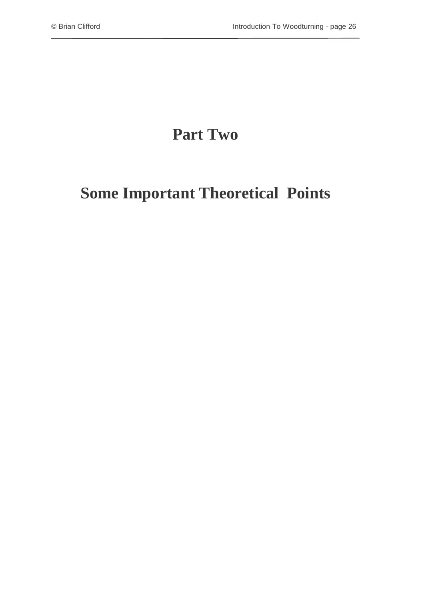# **Part Two**

# **Some Important Theoretical Points**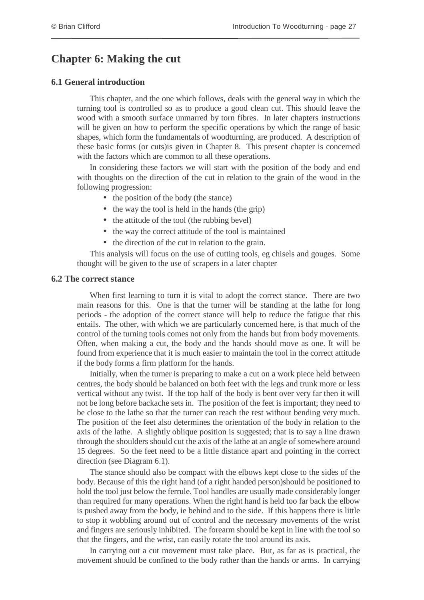# <span id="page-31-0"></span>**Chapter 6: Making the cut**

#### **6.1 General introduction**

This chapter, and the one which follows, deals with the general way in which the turning tool is controlled so as to produce a good clean cut. This should leave the wood with a smooth surface unmarred by torn fibres. In later chapters instructions will be given on how to perform the specific operations by which the range of basic shapes, which form the fundamentals of woodturning, are produced. A description of these basic forms (or cuts)is given in Chapter 8. This present chapter is concerned with the factors which are common to all these operations.

In considering these factors we will start with the position of the body and end with thoughts on the direction of the cut in relation to the grain of the wood in the following progression:

- the position of the body (the stance)
- the way the tool is held in the hands (the grip)
- the attitude of the tool (the rubbing bevel)
- the way the correct attitude of the tool is maintained
- the direction of the cut in relation to the grain.

This analysis will focus on the use of cutting tools, eg chisels and gouges. Some thought will be given to the use of scrapers in a later chapter

#### **6.2 The correct stance**

When first learning to turn it is vital to adopt the correct stance. There are two main reasons for this. One is that the turner will be standing at the lathe for long periods - the adoption of the correct stance will help to reduce the fatigue that this entails. The other, with which we are particularly concerned here, is that much of the control of the turning tools comes not only from the hands but from body movements. Often, when making a cut, the body and the hands should move as one. It will be found from experience that it is much easier to maintain the tool in the correct attitude if the body forms a firm platform for the hands.

Initially, when the turner is preparing to make a cut on a work piece held between centres, the body should be balanced on both feet with the legs and trunk more or less vertical without any twist. If the top half of the body is bent over very far then it will not be long before backache sets in. The position of the feet is important; they need to be close to the lathe so that the turner can reach the rest without bending very much. The position of the feet also determines the orientation of the body in relation to the axis of the lathe. A slightly oblique position is suggested; that is to say a line drawn through the shoulders should cut the axis of the lathe at an angle of somewhere around 15 degrees. So the feet need to be a little distance apart and pointing in the correct direction (see Diagram 6.1).

The stance should also be compact with the elbows kept close to the sides of the body. Because of this the right hand (of a right handed person)should be positioned to hold the tool just below the ferrule. Tool handles are usually made considerably longer than required for many operations. When the right hand is held too far back the elbow is pushed away from the body, ie behind and to the side. If this happens there is little to stop it wobbling around out of control and the necessary movements of the wrist and fingers are seriously inhibited. The forearm should be kept in line with the tool so that the fingers, and the wrist, can easily rotate the tool around its axis.

In carrying out a cut movement must take place. But, as far as is practical, the movement should be confined to the body rather than the hands or arms. In carrying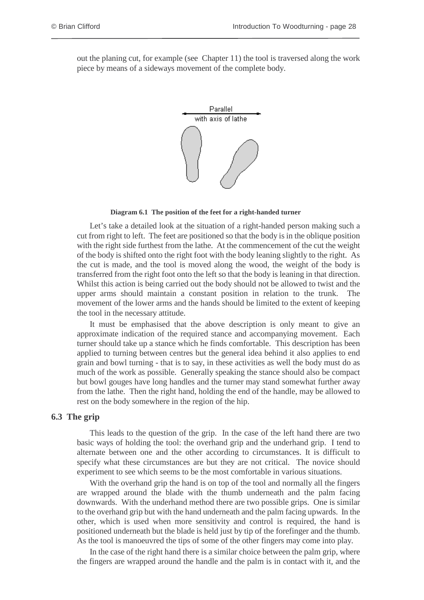out the planing cut, for example (see Chapter 11) the tool is traversed along the work piece by means of a sideways movement of the complete body.



**Diagram 6.1 The position of the feet for a right-handed turner**

Let's take a detailed look at the situation of a right-handed person making such a cut from right to left. The feet are positioned so that the body is in the oblique position with the right side furthest from the lathe. At the commencement of the cut the weight of the body is shifted onto the right foot with the body leaning slightly to the right. As the cut is made, and the tool is moved along the wood, the weight of the body is transferred from the right foot onto the left so that the body is leaning in that direction. Whilst this action is being carried out the body should not be allowed to twist and the upper arms should maintain a constant position in relation to the trunk. The movement of the lower arms and the hands should be limited to the extent of keeping the tool in the necessary attitude.

It must be emphasised that the above description is only meant to give an approximate indication of the required stance and accompanying movement. Each turner should take up a stance which he finds comfortable. This description has been applied to turning between centres but the general idea behind it also applies to end grain and bowl turning - that is to say, in these activities as well the body must do as much of the work as possible. Generally speaking the stance should also be compact but bowl gouges have long handles and the turner may stand somewhat further away from the lathe. Then the right hand, holding the end of the handle, may be allowed to rest on the body somewhere in the region of the hip.

#### **6.3 The grip**

This leads to the question of the grip. In the case of the left hand there are two basic ways of holding the tool: the overhand grip and the underhand grip. I tend to alternate between one and the other according to circumstances. It is difficult to specify what these circumstances are but they are not critical. The novice should experiment to see which seems to be the most comfortable in various situations.

With the overhand grip the hand is on top of the tool and normally all the fingers are wrapped around the blade with the thumb underneath and the palm facing downwards. With the underhand method there are two possible grips. One is similar to the overhand grip but with the hand underneath and the palm facing upwards. In the other, which is used when more sensitivity and control is required, the hand is positioned underneath but the blade is held just by tip of the forefinger and the thumb. As the tool is manoeuvred the tips of some of the other fingers may come into play.

In the case of the right hand there is a similar choice between the palm grip, where the fingers are wrapped around the handle and the palm is in contact with it, and the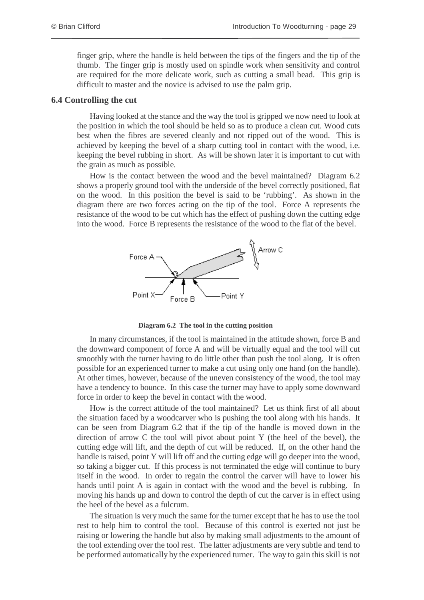finger grip, where the handle is held between the tips of the fingers and the tip of the thumb. The finger grip is mostly used on spindle work when sensitivity and control are required for the more delicate work, such as cutting a small bead. This grip is difficult to master and the novice is advised to use the palm grip.

#### **6.4 Controlling the cut**

Having looked at the stance and the way the tool is gripped we now need to look at the position in which the tool should be held so as to produce a clean cut. Wood cuts best when the fibres are severed cleanly and not ripped out of the wood. This is achieved by keeping the bevel of a sharp cutting tool in contact with the wood, i.e. keeping the bevel rubbing in short. As will be shown later it is important to cut with the grain as much as possible.

How is the contact between the wood and the bevel maintained? Diagram 6.2 shows a properly ground tool with the underside of the bevel correctly positioned, flat on the wood. In this position the bevel is said to be 'rubbing'. As shown in the diagram there are two forces acting on the tip of the tool. Force A represents the resistance of the wood to be cut which has the effect of pushing down the cutting edge into the wood. Force B represents the resistance of the wood to the flat of the bevel.



**Diagram 6.2 The tool in the cutting position**

In many circumstances, if the tool is maintained in the attitude shown, force B and the downward component of force A and will be virtually equal and the tool will cut smoothly with the turner having to do little other than push the tool along. It is often possible for an experienced turner to make a cut using only one hand (on the handle). At other times, however, because of the uneven consistency of the wood, the tool may have a tendency to bounce. In this case the turner may have to apply some downward force in order to keep the bevel in contact with the wood.

How is the correct attitude of the tool maintained? Let us think first of all about the situation faced by a woodcarver who is pushing the tool along with his hands. It can be seen from Diagram 6.2 that if the tip of the handle is moved down in the direction of arrow C the tool will pivot about point Y (the heel of the bevel), the cutting edge will lift, and the depth of cut will be reduced. If, on the other hand the handle is raised, point Y will lift off and the cutting edge will go deeper into the wood, so taking a bigger cut. If this process is not terminated the edge will continue to bury itself in the wood. In order to regain the control the carver will have to lower his hands until point A is again in contact with the wood and the bevel is rubbing. In moving his hands up and down to control the depth of cut the carver is in effect using the heel of the bevel as a fulcrum.

The situation is very much the same for the turner except that he has to use the tool rest to help him to control the tool. Because of this control is exerted not just be raising or lowering the handle but also by making small adjustments to the amount of the tool extending over the tool rest. The latter adjustments are very subtle and tend to be performed automatically by the experienced turner. The way to gain this skill is not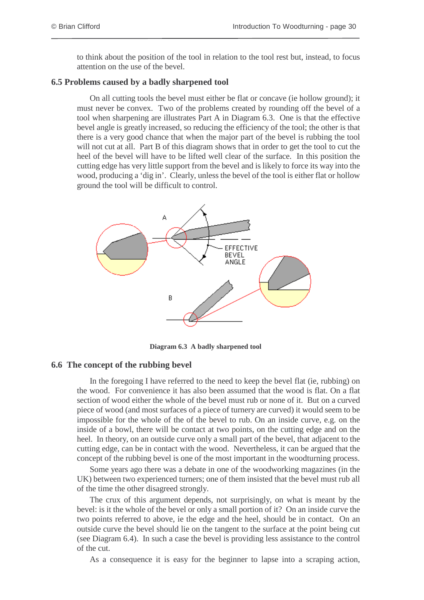to think about the position of the tool in relation to the tool rest but, instead, to focus attention on the use of the bevel.

#### **6.5 Problems caused by a badly sharpened tool**

On all cutting tools the bevel must either be flat or concave (ie hollow ground); it must never be convex. Two of the problems created by rounding off the bevel of a tool when sharpening are illustrates Part A in Diagram 6.3. One is that the effective bevel angle is greatly increased, so reducing the efficiency of the tool; the other is that there is a very good chance that when the major part of the bevel is rubbing the tool will not cut at all. Part B of this diagram shows that in order to get the tool to cut the heel of the bevel will have to be lifted well clear of the surface. In this position the cutting edge has very little support from the bevel and is likely to force its way into the wood, producing a 'dig in'. Clearly, unless the bevel of the tool is either flat or hollow ground the tool will be difficult to control.



**Diagram 6.3 A badly sharpened tool**

#### **6.6 The concept of the rubbing bevel**

In the foregoing I have referred to the need to keep the bevel flat (ie, rubbing) on the wood. For convenience it has also been assumed that the wood is flat. On a flat section of wood either the whole of the bevel must rub or none of it. But on a curved piece of wood (and most surfaces of a piece of turnery are curved) it would seem to be impossible for the whole of the of the bevel to rub. On an inside curve, e.g. on the inside of a bowl, there will be contact at two points, on the cutting edge and on the heel. In theory, on an outside curve only a small part of the bevel, that adjacent to the cutting edge, can be in contact with the wood. Nevertheless, it can be argued that the concept of the rubbing bevel is one of the most important in the woodturning process.

Some years ago there was a debate in one of the woodworking magazines (in the UK) between two experienced turners; one of them insisted that the bevel must rub all of the time the other disagreed strongly.

The crux of this argument depends, not surprisingly, on what is meant by the bevel: is it the whole of the bevel or only a small portion of it? On an inside curve the two points referred to above, ie the edge and the heel, should be in contact. On an outside curve the bevel should lie on the tangent to the surface at the point being cut (see Diagram 6.4). In such a case the bevel is providing less assistance to the control of the cut.

As a consequence it is easy for the beginner to lapse into a scraping action,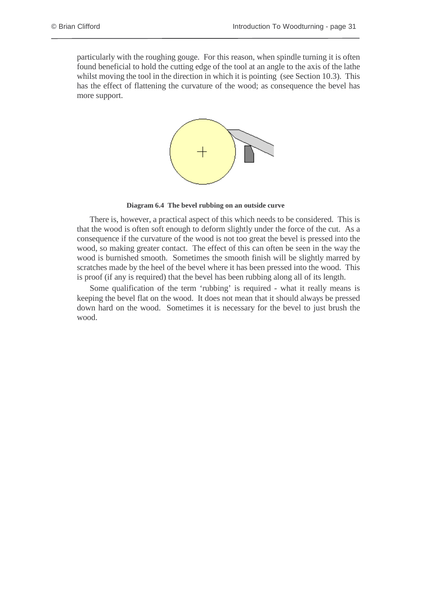particularly with the roughing gouge. For this reason, when spindle turning it is often found beneficial to hold the cutting edge of the tool at an angle to the axis of the lathe whilst moving the tool in the direction in which it is pointing (see Section 10.3). This has the effect of flattening the curvature of the wood; as consequence the bevel has more support.



**Diagram 6.4 The bevel rubbing on an outside curve**

There is, however, a practical aspect of this which needs to be considered. This is that the wood is often soft enough to deform slightly under the force of the cut. As a consequence if the curvature of the wood is not too great the bevel is pressed into the wood, so making greater contact. The effect of this can often be seen in the way the wood is burnished smooth. Sometimes the smooth finish will be slightly marred by scratches made by the heel of the bevel where it has been pressed into the wood. This is proof (if any is required) that the bevel has been rubbing along all of its length.

Some qualification of the term 'rubbing' is required - what it really means is keeping the bevel flat on the wood. It does not mean that it should always be pressed down hard on the wood. Sometimes it is necessary for the bevel to just brush the wood.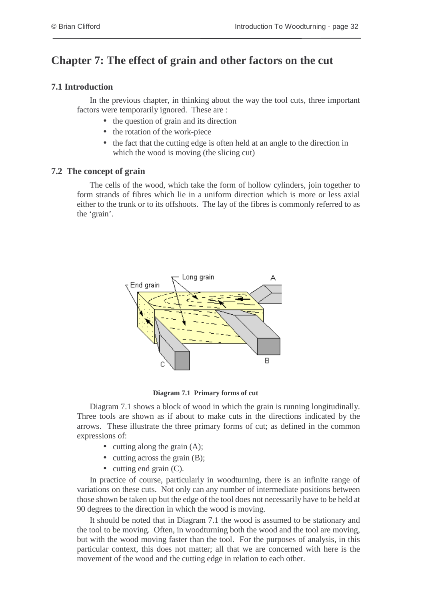# **Chapter 7: The effect of grain and other factors on the cut**

### **7.1 Introduction**

In the previous chapter, in thinking about the way the tool cuts, three important factors were temporarily ignored. These are :

- the question of grain and its direction
- the rotation of the work-piece
- the fact that the cutting edge is often held at an angle to the direction in which the wood is moving (the slicing cut)

### **7.2 The concept of grain**

The cells of the wood, which take the form of hollow cylinders, join together to form strands of fibres which lie in a uniform direction which is more or less axial either to the trunk or to its offshoots. The lay of the fibres is commonly referred to as the 'grain'.



**Diagram 7.1 Primary forms of cut**

Diagram 7.1 shows a block of wood in which the grain is running longitudinally. Three tools are shown as if about to make cuts in the directions indicated by the arrows. These illustrate the three primary forms of cut; as defined in the common expressions of:

- cutting along the grain  $(A)$ ;
- cutting across the grain (B);
- cutting end grain (C).

In practice of course, particularly in woodturning, there is an infinite range of variations on these cuts. Not only can any number of intermediate positions between those shown be taken up but the edge of the tool does not necessarily have to be held at 90 degrees to the direction in which the wood is moving.

It should be noted that in Diagram 7.1 the wood is assumed to be stationary and the tool to be moving. Often, in woodturning both the wood and the tool are moving, but with the wood moving faster than the tool. For the purposes of analysis, in this particular context, this does not matter; all that we are concerned with here is the movement of the wood and the cutting edge in relation to each other.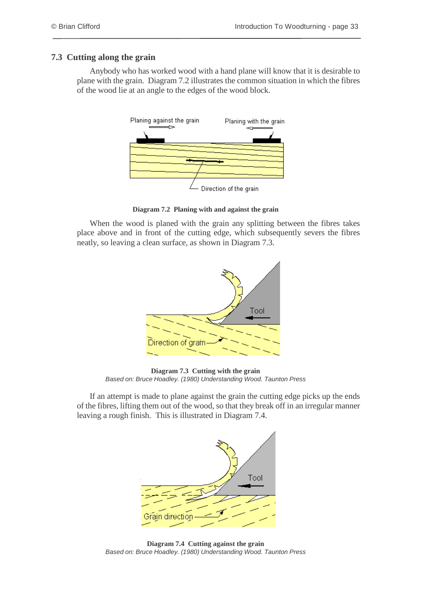### **7.3 Cutting along the grain**

Anybody who has worked wood with a hand plane will know that it is desirable to plane with the grain. Diagram 7.2 illustrates the common situation in which the fibres of the wood lie at an angle to the edges of the wood block.



**Diagram 7.2 Planing with and against the grain**

When the wood is planed with the grain any splitting between the fibres takes place above and in front of the cutting edge, which subsequently severs the fibres neatly, so leaving a clean surface, as shown in Diagram 7.3.



**Diagram 7.3 Cutting with the grain** Based on: Bruce Hoadley. (1980) Understanding Wood. Taunton Press

If an attempt is made to plane against the grain the cutting edge picks up the ends of the fibres, lifting them out of the wood, so that they break off in an irregular manner leaving a rough finish. This is illustrated in Diagram 7.4.



**Diagram 7.4 Cutting against the grain** Based on: Bruce Hoadley. (1980) Understanding Wood. Taunton Press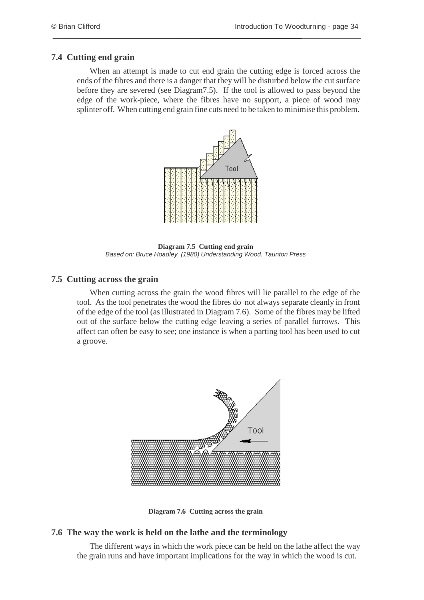### **7.4 Cutting end grain**

When an attempt is made to cut end grain the cutting edge is forced across the ends of the fibres and there is a danger that they will be disturbed below the cut surface before they are severed (see Diagram7.5). If the tool is allowed to pass beyond the edge of the work-piece, where the fibres have no support, a piece of wood may splinter off. When cutting end grain fine cuts need to be taken to minimise this problem.



**Diagram 7.5 Cutting end grain** Based on: Bruce Hoadley. (1980) Understanding Wood. Taunton Press

### **7.5 Cutting across the grain**

When cutting across the grain the wood fibres will lie parallel to the edge of the tool. As the tool penetrates the wood the fibres do not always separate cleanly in front of the edge of the tool (as illustrated in Diagram 7.6). Some of the fibres may be lifted out of the surface below the cutting edge leaving a series of parallel furrows. This affect can often be easy to see; one instance is when a parting tool has been used to cut a groove.



**Diagram 7.6 Cutting across the grain**

### **7.6 The way the work is held on the lathe and the terminology**

The different ways in which the work piece can be held on the lathe affect the way the grain runs and have important implications for the way in which the wood is cut.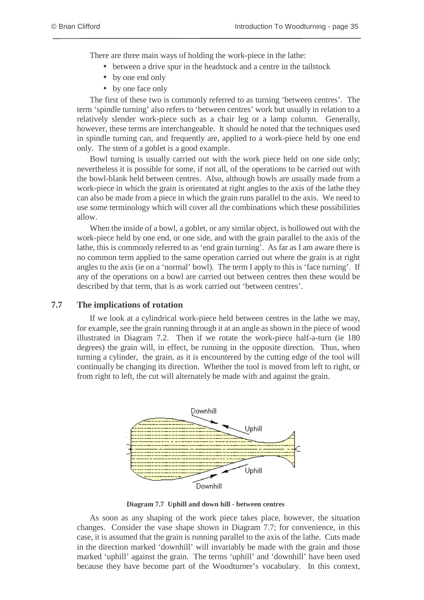There are three main ways of holding the work-piece in the lathe:

- between a drive spur in the headstock and a centre in the tailstock
- by one end only
- by one face only

The first of these two is commonly referred to as turning 'between centres'. The term 'spindle turning' also refers to 'between centres' work but usually in relation to a relatively slender work-piece such as a chair leg or a lamp column. Generally, however, these terms are interchangeable. It should be noted that the techniques used in spindle turning can, and frequently are, applied to a work-piece held by one end only. The stem of a goblet is a good example.

Bowl turning is usually carried out with the work piece held on one side only; nevertheless it is possible for some, if not all, of the operations to be carried out with the bowl-blank held between centres. Also, although bowls are usually made from a work-piece in which the grain is orientated at right angles to the axis of the lathe they can also be made from a piece in which the grain runs parallel to the axis. We need to use some terminology which will cover all the combinations which these possibilities allow.

When the inside of a bowl, a goblet, or any similar object, is hollowed out with the work-piece held by one end, or one side, and with the grain parallel to the axis of the lathe, this is commonly referred to as 'end grain turning'. As far as I am aware there is no common term applied to the same operation carried out where the grain is at right angles to the axis (ie on a 'normal' bowl). The term I apply to this is 'face turning'. If any of the operations on a bowl are carried out between centres then these would be described by that term, that is as work carried out 'between centres'.

### **7.7 The implications of rotation**

If we look at a cylindrical work-piece held between centres in the lathe we may, for example, see the grain running through it at an angle as shown in the piece of wood illustrated in Diagram 7.2. Then if we rotate the work-piece half-a-turn (ie 180 degrees) the grain will, in effect, be running in the opposite direction. Thus, when turning a cylinder, the grain, as it is encountered by the cutting edge of the tool will continually be changing its direction. Whether the tool is moved from left to right, or from right to left, the cut will alternately be made with and against the grain.



**Diagram 7.7 Uphill and down hill - between centres**

As soon as any shaping of the work piece takes place, however, the situation changes. Consider the vase shape shown in Diagram 7.7; for convenience, in this case, it is assumed that the grain is running parallel to the axis of the lathe. Cuts made in the direction marked 'downhill' will invariably be made with the grain and those marked 'uphill' against the grain. The terms 'uphill' and 'downhill' have been used because they have become part of the Woodturner's vocabulary. In this context,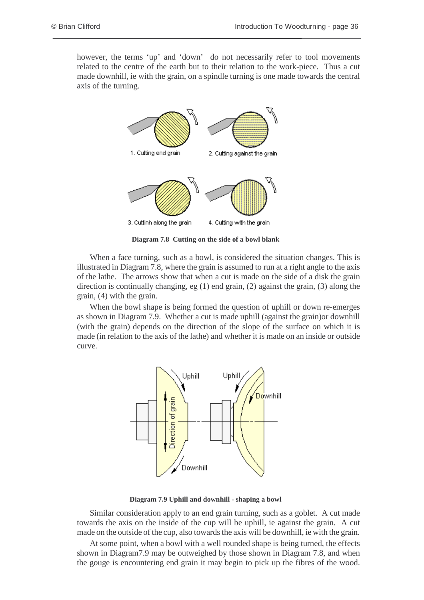however, the terms 'up' and 'down' do not necessarily refer to tool movements related to the centre of the earth but to their relation to the work-piece. Thus a cut made downhill, ie with the grain, on a spindle turning is one made towards the central axis of the turning.



**Diagram 7.8 Cutting on the side of a bowl blank**

When a face turning, such as a bowl, is considered the situation changes. This is illustrated in Diagram 7.8, where the grain is assumed to run at a right angle to the axis of the lathe. The arrows show that when a cut is made on the side of a disk the grain direction is continually changing, eg (1) end grain, (2) against the grain, (3) along the grain, (4) with the grain.

When the bowl shape is being formed the question of uphill or down re-emerges as shown in Diagram 7.9. Whether a cut is made uphill (against the grain)or downhill (with the grain) depends on the direction of the slope of the surface on which it is made (in relation to the axis of the lathe) and whether it is made on an inside or outside curve.



**Diagram 7.9 Uphill and downhill - shaping a bowl**

Similar consideration apply to an end grain turning, such as a goblet. A cut made towards the axis on the inside of the cup will be uphill, ie against the grain. A cut made on the outside of the cup, also towards the axis will be downhill, ie with the grain.

At some point, when a bowl with a well rounded shape is being turned, the effects shown in Diagram7.9 may be outweighed by those shown in Diagram 7.8, and when the gouge is encountering end grain it may begin to pick up the fibres of the wood.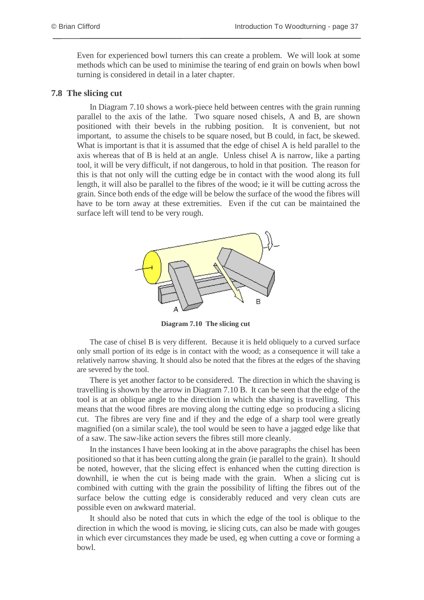Even for experienced bowl turners this can create a problem. We will look at some methods which can be used to minimise the tearing of end grain on bowls when bowl turning is considered in detail in a later chapter.

#### **7.8 The slicing cut**

In Diagram 7.10 shows a work-piece held between centres with the grain running parallel to the axis of the lathe. Two square nosed chisels, A and B, are shown positioned with their bevels in the rubbing position. It is convenient, but not important, to assume the chisels to be square nosed, but B could, in fact, be skewed. What is important is that it is assumed that the edge of chisel A is held parallel to the axis whereas that of B is held at an angle. Unless chisel A is narrow, like a parting tool, it will be very difficult, if not dangerous, to hold in that position. The reason for this is that not only will the cutting edge be in contact with the wood along its full length, it will also be parallel to the fibres of the wood; ie it will be cutting across the grain. Since both ends of the edge will be below the surface of the wood the fibres will have to be torn away at these extremities. Even if the cut can be maintained the surface left will tend to be very rough.



**Diagram 7.10 The slicing cut**

The case of chisel B is very different. Because it is held obliquely to a curved surface only small portion of its edge is in contact with the wood; as a consequence it will take a relatively narrow shaving. It should also be noted that the fibres at the edges of the shaving are severed by the tool.

There is yet another factor to be considered. The direction in which the shaving is travelling is shown by the arrow in Diagram 7.10 B. It can be seen that the edge of the tool is at an oblique angle to the direction in which the shaving is travelling. This means that the wood fibres are moving along the cutting edge so producing a slicing cut. The fibres are very fine and if they and the edge of a sharp tool were greatly magnified (on a similar scale), the tool would be seen to have a jagged edge like that of a saw. The saw-like action severs the fibres still more cleanly.

In the instances I have been looking at in the above paragraphs the chisel has been positioned so that it has been cutting along the grain (ie parallel to the grain). It should be noted, however, that the slicing effect is enhanced when the cutting direction is downhill, ie when the cut is being made with the grain. When a slicing cut is combined with cutting with the grain the possibility of lifting the fibres out of the surface below the cutting edge is considerably reduced and very clean cuts are possible even on awkward material.

It should also be noted that cuts in which the edge of the tool is oblique to the direction in which the wood is moving, ie slicing cuts, can also be made with gouges in which ever circumstances they made be used, eg when cutting a cove or forming a bowl.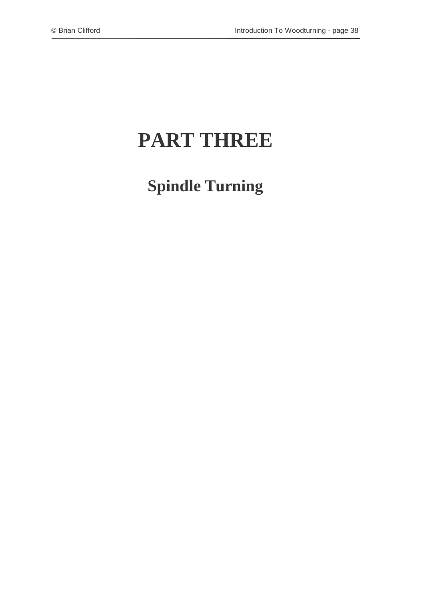# **PART THREE**

**Spindle Turning**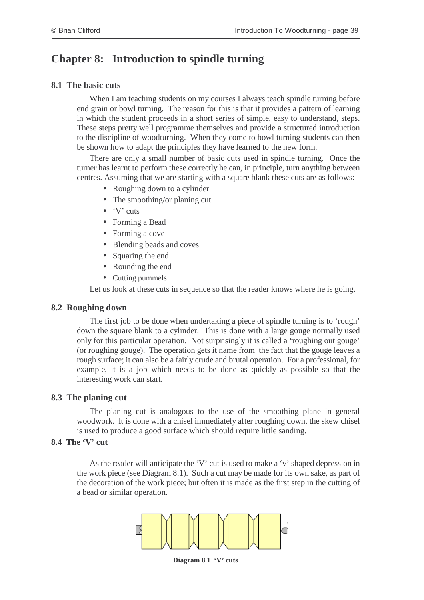# **Chapter 8: Introduction to spindle turning**

### **8.1 The basic cuts**

When I am teaching students on my courses I always teach spindle turning before end grain or bowl turning. The reason for this is that it provides a pattern of learning in which the student proceeds in a short series of simple, easy to understand, steps. These steps pretty well programme themselves and provide a structured introduction to the discipline of woodturning. When they come to bowl turning students can then be shown how to adapt the principles they have learned to the new form.

There are only a small number of basic cuts used in spindle turning. Once the turner has learnt to perform these correctly he can, in principle, turn anything between centres. Assuming that we are starting with a square blank these cuts are as follows:

- Roughing down to a cylinder
- The smoothing/or planing cut
- 'V' cuts
- Forming a Bead
- Forming a cove
- Blending beads and coves
- Squaring the end
- Rounding the end
- Cutting pummels

Let us look at these cuts in sequence so that the reader knows where he is going.

### **8.2 Roughing down**

The first job to be done when undertaking a piece of spindle turning is to 'rough' down the square blank to a cylinder. This is done with a large gouge normally used only for this particular operation. Not surprisingly it is called a 'roughing out gouge' (or roughing gouge). The operation gets it name from the fact that the gouge leaves a rough surface; it can also be a fairly crude and brutal operation. For a professional, for example, it is a job which needs to be done as quickly as possible so that the interesting work can start.

### **8.3 The planing cut**

The planing cut is analogous to the use of the smoothing plane in general woodwork. It is done with a chisel immediately after roughing down. the skew chisel is used to produce a good surface which should require little sanding.

### **8.4 The 'V' cut**

As the reader will anticipate the 'V' cut is used to make a 'v' shaped depression in the work piece (see Diagram 8.1). Such a cut may be made for its own sake, as part of the decoration of the work piece; but often it is made as the first step in the cutting of a bead or similar operation.



**Diagram 8.1 'V' cuts**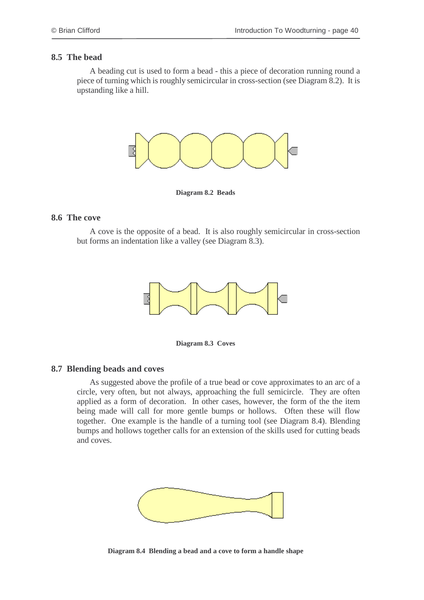#### **8.5 The bead**

A beading cut is used to form a bead - this a piece of decoration running round a piece of turning which is roughly semicircular in cross-section (see Diagram 8.2). It is upstanding like a hill.



**Diagram 8.2 Beads**

### **8.6 The cove**

A cove is the opposite of a bead. It is also roughly semicircular in cross-section but forms an indentation like a valley (see Diagram 8.3).



**Diagram 8.3 Coves**

#### **8.7 Blending beads and coves**

As suggested above the profile of a true bead or cove approximates to an arc of a circle, very often, but not always, approaching the full semicircle. They are often applied as a form of decoration. In other cases, however, the form of the the item being made will call for more gentle bumps or hollows. Often these will flow together. One example is the handle of a turning tool (see Diagram 8.4). Blending bumps and hollows together calls for an extension of the skills used for cutting beads and coves.



**Diagram 8.4 Blending a bead and a cove to form a handle shape**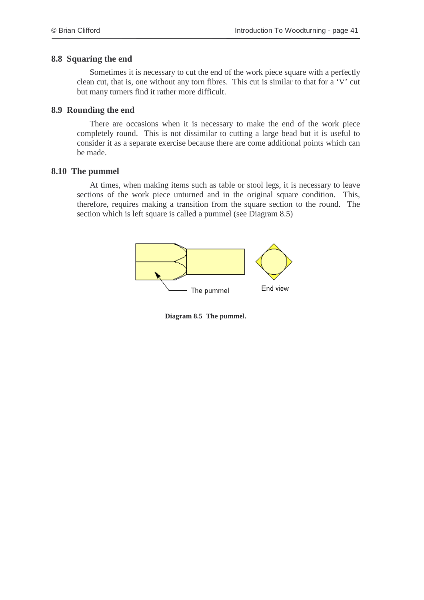### **8.8 Squaring the end**

Sometimes it is necessary to cut the end of the work piece square with a perfectly clean cut, that is, one without any torn fibres. This cut is similar to that for a 'V' cut but many turners find it rather more difficult.

### **8.9 Rounding the end**

There are occasions when it is necessary to make the end of the work piece completely round. This is not dissimilar to cutting a large bead but it is useful to consider it as a separate exercise because there are come additional points which can be made.

### **8.10 The pummel**

At times, when making items such as table or stool legs, it is necessary to leave sections of the work piece unturned and in the original square condition. This, therefore, requires making a transition from the square section to the round. The section which is left square is called a pummel (see Diagram 8.5)



**Diagram 8.5 The pummel.**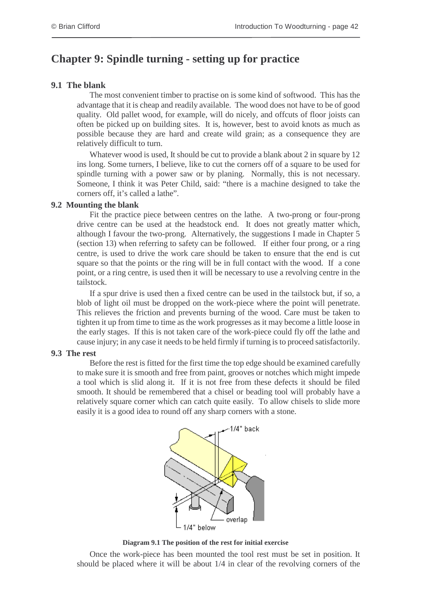# **Chapter 9: Spindle turning - setting up for practice**

### **9.1 The blank**

The most convenient timber to practise on is some kind of softwood. This has the advantage that it is cheap and readily available. The wood does not have to be of good quality. Old pallet wood, for example, will do nicely, and offcuts of floor joists can often be picked up on building sites. It is, however, best to avoid knots as much as possible because they are hard and create wild grain; as a consequence they are relatively difficult to turn.

Whatever wood is used, It should be cut to provide a blank about 2 in square by 12 ins long. Some turners, I believe, like to cut the corners off of a square to be used for spindle turning with a power saw or by planing. Normally, this is not necessary. Someone, I think it was Peter Child, said: "there is a machine designed to take the corners off, it's called a lathe".

### **9.2 Mounting the blank**

Fit the practice piece between centres on the lathe. A two-prong or four-prong drive centre can be used at the headstock end. It does not greatly matter which, although I favour the two-prong. Alternatively, the suggestions I made in Chapter 5 (section 13) when referring to safety can be followed. If either four prong, or a ring centre, is used to drive the work care should be taken to ensure that the end is cut square so that the points or the ring will be in full contact with the wood. If a cone point, or a ring centre, is used then it will be necessary to use a revolving centre in the tailstock.

If a spur drive is used then a fixed centre can be used in the tailstock but, if so, a blob of light oil must be dropped on the work-piece where the point will penetrate. This relieves the friction and prevents burning of the wood. Care must be taken to tighten it up from time to time as the work progresses as it may become a little loose in the early stages. If this is not taken care of the work-piece could fly off the lathe and cause injury; in any case it needs to be held firmly if turning is to proceed satisfactorily.

### **9.3 The rest**

Before the rest is fitted for the first time the top edge should be examined carefully to make sure it is smooth and free from paint, grooves or notches which might impede a tool which is slid along it. If it is not free from these defects it should be filed smooth. It should be remembered that a chisel or beading tool will probably have a relatively square corner which can catch quite easily. To allow chisels to slide more easily it is a good idea to round off any sharp corners with a stone.



**Diagram 9.1 The position of the rest for initial exercise**

Once the work-piece has been mounted the tool rest must be set in position. It should be placed where it will be about 1/4 in clear of the revolving corners of the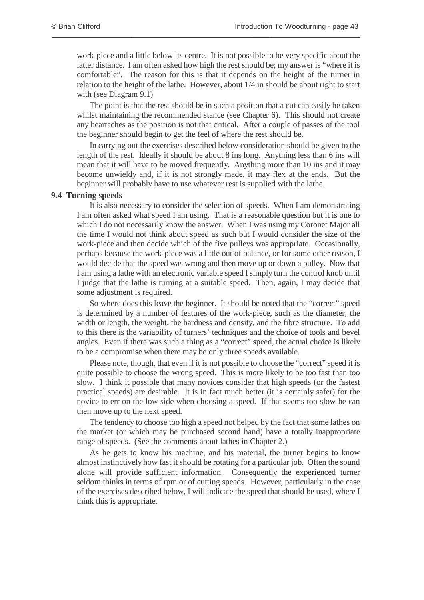work-piece and a little below its centre. It is not possible to be very specific about the latter distance. I am often asked how high the rest should be; my answer is "where it is comfortable". The reason for this is that it depends on the height of the turner in relation to the height of the lathe. However, about 1/4 in should be about right to start with (see Diagram 9.1)

The point is that the rest should be in such a position that a cut can easily be taken whilst maintaining the recommended stance (see Chapter 6). This should not create any heartaches as the position is not that critical. After a couple of passes of the tool the beginner should begin to get the feel of where the rest should be.

In carrying out the exercises described below consideration should be given to the length of the rest. Ideally it should be about 8 ins long. Anything less than 6 ins will mean that it will have to be moved frequently. Anything more than 10 ins and it may become unwieldy and, if it is not strongly made, it may flex at the ends. But the beginner will probably have to use whatever rest is supplied with the lathe.

#### **9.4 Turning speeds**

It is also necessary to consider the selection of speeds. When I am demonstrating I am often asked what speed I am using. That is a reasonable question but it is one to which I do not necessarily know the answer. When I was using my Coronet Major all the time I would not think about speed as such but I would consider the size of the work-piece and then decide which of the five pulleys was appropriate. Occasionally, perhaps because the work-piece was a little out of balance, or for some other reason, I would decide that the speed was wrong and then move up or down a pulley. Now that I am using a lathe with an electronic variable speed Isimply turn the control knob until I judge that the lathe is turning at a suitable speed. Then, again, I may decide that some adjustment is required.

So where does this leave the beginner. It should be noted that the "correct" speed is determined by a number of features of the work-piece, such as the diameter, the width or length, the weight, the hardness and density, and the fibre structure. To add to this there is the variability of turners' techniques and the choice of tools and bevel angles. Even if there was such a thing as a "correct" speed, the actual choice is likely to be a compromise when there may be only three speeds available.

Please note, though, that even if it is not possible to choose the "correct" speed it is quite possible to choose the wrong speed. This is more likely to be too fast than too slow. I think it possible that many novices consider that high speeds (or the fastest practical speeds) are desirable. It is in fact much better (it is certainly safer) for the novice to err on the low side when choosing a speed. If that seems too slow he can then move up to the next speed.

The tendency to choose too high a speed not helped by the fact that some lathes on the market (or which may be purchased second hand) have a totally inappropriate range of speeds. (See the comments about lathes in Chapter 2.)

As he gets to know his machine, and his material, the turner begins to know almost instinctively how fast it should be rotating for a particular job. Often the sound alone will provide sufficient information. Consequently the experienced turner seldom thinks in terms of rpm or of cutting speeds. However, particularly in the case of the exercises described below, I will indicate the speed that should be used, where I think this is appropriate.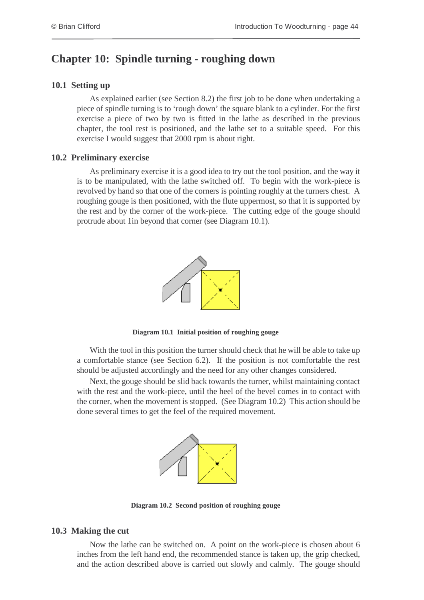# **Chapter 10: Spindle turning - roughing down**

### **10.1 Setting up**

As explained earlier (see Section 8.2) the first job to be done when undertaking a piece of spindle turning is to 'rough down' the square blank to a cylinder. For the first exercise a piece of two by two is fitted in the lathe as described in the previous chapter, the tool rest is positioned, and the lathe set to a suitable speed. For this exercise I would suggest that 2000 rpm is about right.

### **10.2 Preliminary exercise**

As preliminary exercise it is a good idea to try out the tool position, and the way it is to be manipulated, with the lathe switched off. To begin with the work-piece is revolved by hand so that one of the corners is pointing roughly at the turners chest. A roughing gouge is then positioned, with the flute uppermost, so that it is supported by the rest and by the corner of the work-piece. The cutting edge of the gouge should protrude about 1in beyond that corner (see Diagram 10.1).



**Diagram 10.1 Initial position of roughing gouge**

With the tool in this position the turner should check that he will be able to take up a comfortable stance (see Section 6.2). If the position is not comfortable the rest should be adjusted accordingly and the need for any other changes considered.

Next, the gouge should be slid back towards the turner, whilst maintaining contact with the rest and the work-piece, until the heel of the bevel comes in to contact with the corner, when the movement is stopped. (See Diagram 10.2) This action should be done several times to get the feel of the required movement.



**Diagram 10.2 Second position of roughing gouge**

### **10.3 Making the cut**

Now the lathe can be switched on. A point on the work-piece is chosen about 6 inches from the left hand end, the recommended stance is taken up, the grip checked, and the action described above is carried out slowly and calmly. The gouge should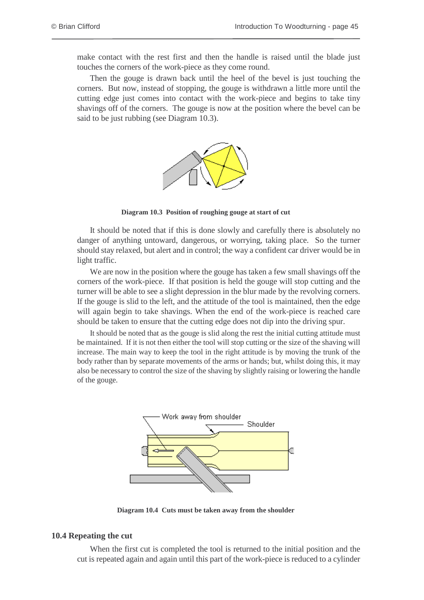make contact with the rest first and then the handle is raised until the blade just touches the corners of the work-piece as they come round.

Then the gouge is drawn back until the heel of the bevel is just touching the corners. But now, instead of stopping, the gouge is withdrawn a little more until the cutting edge just comes into contact with the work-piece and begins to take tiny shavings off of the corners. The gouge is now at the position where the bevel can be said to be just rubbing (see Diagram 10.3).



**Diagram 10.3 Position of roughing gouge at start of cut**

It should be noted that if this is done slowly and carefully there is absolutely no danger of anything untoward, dangerous, or worrying, taking place. So the turner should stay relaxed, but alert and in control; the way a confident car driver would be in light traffic.

We are now in the position where the gouge has taken a few small shavings off the corners of the work-piece. If that position is held the gouge will stop cutting and the turner will be able to see a slight depression in the blur made by the revolving corners. If the gouge is slid to the left, and the attitude of the tool is maintained, then the edge will again begin to take shavings. When the end of the work-piece is reached care should be taken to ensure that the cutting edge does not dip into the driving spur.

It should be noted that as the gouge is slid along the rest the initial cutting attitude must be maintained. If it is not then either the tool will stop cutting or the size of the shaving will increase. The main way to keep the tool in the right attitude is by moving the trunk of the body rather than by separate movements of the arms or hands; but, whilst doing this, it may also be necessary to control the size of the shaving by slightly raising or lowering the handle of the gouge.



**Diagram 10.4 Cuts must be taken away from the shoulder**

#### **10.4 Repeating the cut**

When the first cut is completed the tool is returned to the initial position and the cut is repeated again and again until this part of the work-piece is reduced to a cylinder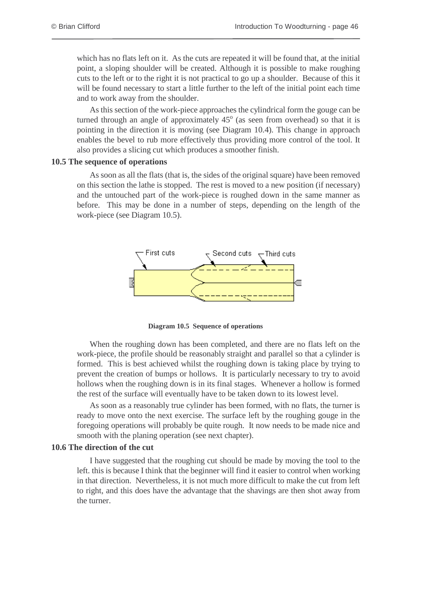which has no flats left on it. As the cuts are repeated it will be found that, at the initial point, a sloping shoulder will be created. Although it is possible to make roughing cuts to the left or to the right it is not practical to go up a shoulder. Because of this it will be found necessary to start a little further to the left of the initial point each time and to work away from the shoulder.

As this section of the work-piece approaches the cylindrical form the gouge can be turned through an angle of approximately  $45^\circ$  (as seen from overhead) so that it is pointing in the direction it is moving (see Diagram 10.4). This change in approach enables the bevel to rub more effectively thus providing more control of the tool. It also provides a slicing cut which produces a smoother finish.

#### **10.5 The sequence of operations**

As soon as all the flats (that is, the sides of the original square) have been removed on this section the lathe is stopped. The rest is moved to a new position (if necessary) and the untouched part of the work-piece is roughed down in the same manner as before. This may be done in a number of steps, depending on the length of the work-piece (see Diagram 10.5).



**Diagram 10.5 Sequence of operations**

When the roughing down has been completed, and there are no flats left on the work-piece, the profile should be reasonably straight and parallel so that a cylinder is formed. This is best achieved whilst the roughing down is taking place by trying to prevent the creation of bumps or hollows. It is particularly necessary to try to avoid hollows when the roughing down is in its final stages. Whenever a hollow is formed the rest of the surface will eventually have to be taken down to its lowest level.

As soon as a reasonably true cylinder has been formed, with no flats, the turner is ready to move onto the next exercise. The surface left by the roughing gouge in the foregoing operations will probably be quite rough. It now needs to be made nice and smooth with the planing operation (see next chapter).

#### **10.6 The direction of the cut**

I have suggested that the roughing cut should be made by moving the tool to the left. this is because I think that the beginner will find it easier to control when working in that direction. Nevertheless, it is not much more difficult to make the cut from left to right, and this does have the advantage that the shavings are then shot away from the turner.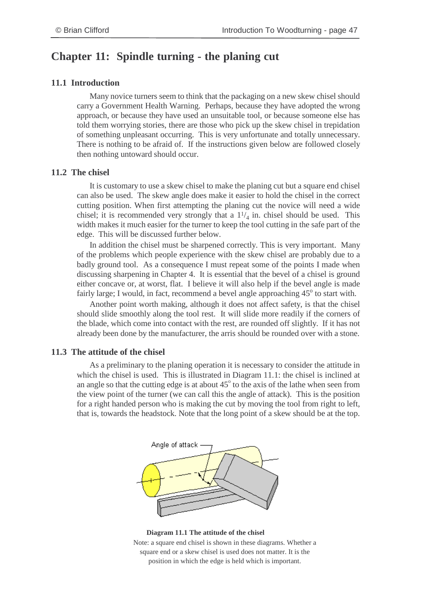# **Chapter 11: Spindle turning - the planing cut**

### **11.1 Introduction**

Many novice turners seem to think that the packaging on a new skew chisel should carry a Government Health Warning. Perhaps, because they have adopted the wrong approach, or because they have used an unsuitable tool, or because someone else has told them worrying stories, there are those who pick up the skew chisel in trepidation of something unpleasant occurring. This is very unfortunate and totally unnecessary. There is nothing to be afraid of. If the instructions given below are followed closely then nothing untoward should occur.

### **11.2 The chisel**

It is customary to use a skew chisel to make the planing cut but a square end chisel can also be used. The skew angle does make it easier to hold the chisel in the correct cutting position. When first attempting the planing cut the novice will need a wide chisel; it is recommended very strongly that a  $1\frac{1}{4}$  in. chisel should be used. This width makes it much easier for the turner to keep the tool cutting in the safe part of the edge. This will be discussed further below.

In addition the chisel must be sharpened correctly. This is very important. Many of the problems which people experience with the skew chisel are probably due to a badly ground tool. As a consequence I must repeat some of the points I made when discussing sharpening in Chapter 4. It is essential that the bevel of a chisel is ground either concave or, at worst, flat. I believe it will also help if the bevel angle is made fairly large; I would, in fact, recommend a bevel angle approaching 45° to start with.

Another point worth making, although it does not affect safety, is that the chisel should slide smoothly along the tool rest. It will slide more readily if the corners of the blade, which come into contact with the rest, are rounded off slightly. If it has not already been done by the manufacturer, the arris should be rounded over with a stone.

### **11.3 The attitude of the chisel**

As a preliminary to the planing operation it is necessary to consider the attitude in which the chisel is used. This is illustrated in Diagram 11.1: the chisel is inclined at an angle so that the cutting edge is at about  $45^{\circ}$  to the axis of the lathe when seen from the view point of the turner (we can call this the angle of attack). This is the position for a right handed person who is making the cut by moving the tool from right to left, that is, towards the headstock. Note that the long point of a skew should be at the top.



#### **Diagram 11.1 The attitude of the chisel** Note: a square end chisel is shown in these diagrams. Whether a square end or a skew chisel is used does not matter. It is the position in which the edge is held which is important.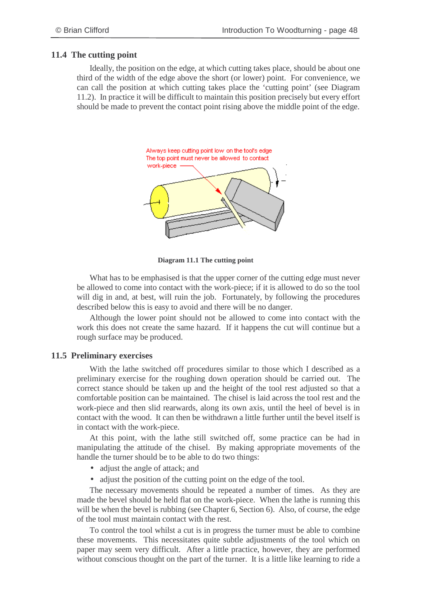### **11.4 The cutting point**

Ideally, the position on the edge, at which cutting takes place, should be about one third of the width of the edge above the short (or lower) point. For convenience, we can call the position at which cutting takes place the 'cutting point' (see Diagram 11.2). In practice it will be difficult to maintain this position precisely but every effort should be made to prevent the contact point rising above the middle point of the edge.



**Diagram 11.1 The cutting point**

What has to be emphasised is that the upper corner of the cutting edge must never be allowed to come into contact with the work-piece; if it is allowed to do so the tool will dig in and, at best, will ruin the job. Fortunately, by following the procedures described below this is easy to avoid and there will be no danger.

Although the lower point should not be allowed to come into contact with the work this does not create the same hazard. If it happens the cut will continue but a rough surface may be produced.

### **11.5 Preliminary exercises**

With the lathe switched off procedures similar to those which I described as a preliminary exercise for the roughing down operation should be carried out. The correct stance should be taken up and the height of the tool rest adjusted so that a comfortable position can be maintained. The chisel is laid across the tool rest and the work-piece and then slid rearwards, along its own axis, until the heel of bevel is in contact with the wood. It can then be withdrawn a little further until the bevel itself is in contact with the work-piece.

At this point, with the lathe still switched off, some practice can be had in manipulating the attitude of the chisel. By making appropriate movements of the handle the turner should be to be able to do two things:

- adjust the angle of attack; and
- adjust the position of the cutting point on the edge of the tool.

The necessary movements should be repeated a number of times. As they are made the bevel should be held flat on the work-piece. When the lathe is running this will be when the bevel is rubbing (see Chapter 6, Section 6). Also, of course, the edge of the tool must maintain contact with the rest.

To control the tool whilst a cut is in progress the turner must be able to combine these movements. This necessitates quite subtle adjustments of the tool which on paper may seem very difficult. After a little practice, however, they are performed without conscious thought on the part of the turner. It is a little like learning to ride a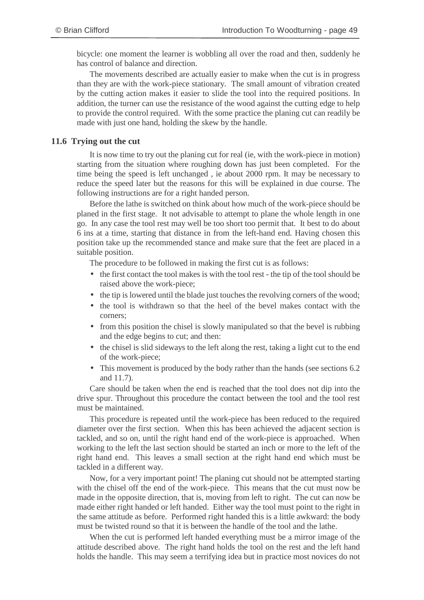bicycle: one moment the learner is wobbling all over the road and then, suddenly he has control of balance and direction.

The movements described are actually easier to make when the cut is in progress than they are with the work-piece stationary. The small amount of vibration created by the cutting action makes it easier to slide the tool into the required positions. In addition, the turner can use the resistance of the wood against the cutting edge to help to provide the control required. With the some practice the planing cut can readily be made with just one hand, holding the skew by the handle.

### **11.6 Trying out the cut**

It is now time to try out the planing cut for real (ie, with the work-piece in motion) starting from the situation where roughing down has just been completed. For the time being the speed is left unchanged , ie about 2000 rpm. It may be necessary to reduce the speed later but the reasons for this will be explained in due course. The following instructions are for a right handed person.

Before the lathe is switched on think about how much of the work-piece should be planed in the first stage. It not advisable to attempt to plane the whole length in one go. In any case the tool rest may well be too short too permit that. It best to do about 6 ins at a time, starting that distance in from the left-hand end. Having chosen this position take up the recommended stance and make sure that the feet are placed in a suitable position.

The procedure to be followed in making the first cut is as follows:

- the first contact the tool makes is with the tool rest the tip of the tool should be raised above the work-piece;
- the tip is lowered until the blade just touches the revolving corners of the wood;
- the tool is withdrawn so that the heel of the bevel makes contact with the corners;
- from this position the chisel is slowly manipulated so that the bevel is rubbing and the edge begins to cut; and then:
- the chisel is slid sideways to the left along the rest, taking a light cut to the end of the work-piece;
- This movement is produced by the body rather than the hands (see sections 6.2) and 11.7).

Care should be taken when the end is reached that the tool does not dip into the drive spur. Throughout this procedure the contact between the tool and the tool rest must be maintained.

This procedure is repeated until the work-piece has been reduced to the required diameter over the first section. When this has been achieved the adjacent section is tackled, and so on, until the right hand end of the work-piece is approached. When working to the left the last section should be started an inch or more to the left of the right hand end. This leaves a small section at the right hand end which must be tackled in a different way.

Now, for a very important point! The planing cut should not be attempted starting with the chisel off the end of the work-piece. This means that the cut must now be made in the opposite direction, that is, moving from left to right. The cut can now be made either right handed or left handed. Either way the tool must point to the right in the same attitude as before. Performed right handed this is a little awkward: the body must be twisted round so that it is between the handle of the tool and the lathe.

When the cut is performed left handed everything must be a mirror image of the attitude described above. The right hand holds the tool on the rest and the left hand holds the handle. This may seem a terrifying idea but in practice most novices do not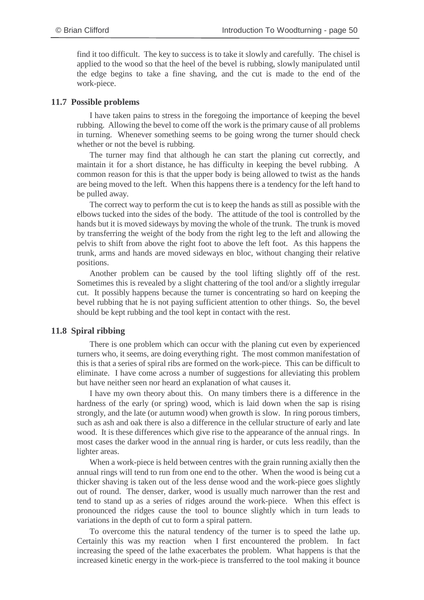find it too difficult. The key to success is to take it slowly and carefully. The chisel is applied to the wood so that the heel of the bevel is rubbing, slowly manipulated until the edge begins to take a fine shaving, and the cut is made to the end of the work-piece.

### **11.7 Possible problems**

I have taken pains to stress in the foregoing the importance of keeping the bevel rubbing. Allowing the bevel to come off the work is the primary cause of all problems in turning. Whenever something seems to be going wrong the turner should check whether or not the bevel is rubbing.

The turner may find that although he can start the planing cut correctly, and maintain it for a short distance, he has difficulty in keeping the bevel rubbing. A common reason for this is that the upper body is being allowed to twist as the hands are being moved to the left. When this happens there is a tendency for the left hand to be pulled away.

The correct way to perform the cut is to keep the hands as still as possible with the elbows tucked into the sides of the body. The attitude of the tool is controlled by the hands but it is moved sideways by moving the whole of the trunk. The trunk is moved by transferring the weight of the body from the right leg to the left and allowing the pelvis to shift from above the right foot to above the left foot. As this happens the trunk, arms and hands are moved sideways en bloc, without changing their relative positions.

Another problem can be caused by the tool lifting slightly off of the rest. Sometimes this is revealed by a slight chattering of the tool and/or a slightly irregular cut. It possibly happens because the turner is concentrating so hard on keeping the bevel rubbing that he is not paying sufficient attention to other things. So, the bevel should be kept rubbing and the tool kept in contact with the rest.

### **11.8 Spiral ribbing**

There is one problem which can occur with the planing cut even by experienced turners who, it seems, are doing everything right. The most common manifestation of this is that a series of spiral ribs are formed on the work-piece. This can be difficult to eliminate. I have come across a number of suggestions for alleviating this problem but have neither seen nor heard an explanation of what causes it.

I have my own theory about this. On many timbers there is a difference in the hardness of the early (or spring) wood, which is laid down when the sap is rising strongly, and the late (or autumn wood) when growth is slow. In ring porous timbers, such as ash and oak there is also a difference in the cellular structure of early and late wood. It is these differences which give rise to the appearance of the annual rings. In most cases the darker wood in the annual ring is harder, or cuts less readily, than the lighter areas.

When a work-piece is held between centres with the grain running axially then the annual rings will tend to run from one end to the other. When the wood is being cut a thicker shaving is taken out of the less dense wood and the work-piece goes slightly out of round. The denser, darker, wood is usually much narrower than the rest and tend to stand up as a series of ridges around the work-piece. When this effect is pronounced the ridges cause the tool to bounce slightly which in turn leads to variations in the depth of cut to form a spiral pattern.

To overcome this the natural tendency of the turner is to speed the lathe up. Certainly this was my reaction when I first encountered the problem. In fact increasing the speed of the lathe exacerbates the problem. What happens is that the increased kinetic energy in the work-piece is transferred to the tool making it bounce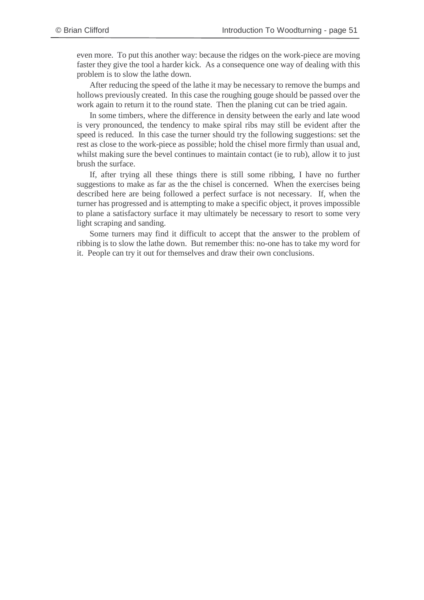even more. To put this another way: because the ridges on the work-piece are moving faster they give the tool a harder kick. As a consequence one way of dealing with this problem is to slow the lathe down.

After reducing the speed of the lathe it may be necessary to remove the bumps and hollows previously created. In this case the roughing gouge should be passed over the work again to return it to the round state. Then the planing cut can be tried again.

In some timbers, where the difference in density between the early and late wood is very pronounced, the tendency to make spiral ribs may still be evident after the speed is reduced. In this case the turner should try the following suggestions: set the rest as close to the work-piece as possible; hold the chisel more firmly than usual and, whilst making sure the bevel continues to maintain contact (ie to rub), allow it to just brush the surface.

If, after trying all these things there is still some ribbing, I have no further suggestions to make as far as the the chisel is concerned. When the exercises being described here are being followed a perfect surface is not necessary. If, when the turner has progressed and is attempting to make a specific object, it proves impossible to plane a satisfactory surface it may ultimately be necessary to resort to some very light scraping and sanding.

Some turners may find it difficult to accept that the answer to the problem of ribbing is to slow the lathe down. But remember this: no-one has to take my word for it. People can try it out for themselves and draw their own conclusions.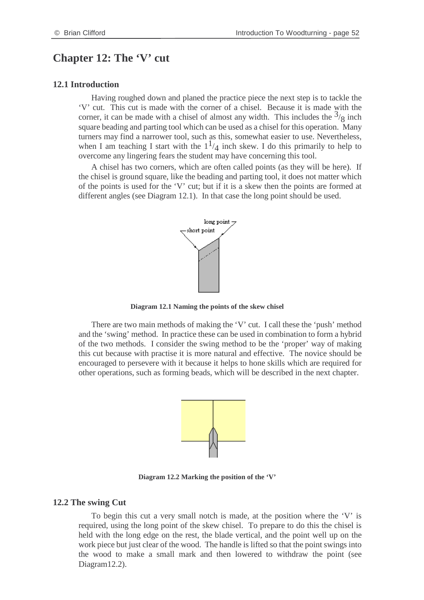## **Chapter 12: The 'V' cut**

#### **12.1 Introduction**

Having roughed down and planed the practice piece the next step is to tackle the 'V' cut. This cut is made with the corner of a chisel. Because it is made with the corner, it can be made with a chisel of almost any width. This includes the  $\frac{3}{8}$  inch square beading and parting tool which can be used as a chisel for this operation. Many turners may find a narrower tool, such as this, somewhat easier to use. Nevertheless, when I am teaching I start with the  $1^{1/4}$  inch skew. I do this primarily to help to overcome any lingering fears the student may have concerning this tool.

A chisel has two corners, which are often called points (as they will be here). If the chisel is ground square, like the beading and parting tool, it does not matter which of the points is used for the 'V' cut; but if it is a skew then the points are formed at different angles (see Diagram 12.1). In that case the long point should be used.



**Diagram 12.1 Naming the points of the skew chisel**

There are two main methods of making the 'V' cut. I call these the 'push' method and the 'swing' method. In practice these can be used in combination to form a hybrid of the two methods. I consider the swing method to be the 'proper' way of making this cut because with practise it is more natural and effective. The novice should be encouraged to persevere with it because it helps to hone skills which are required for other operations, such as forming beads, which will be described in the next chapter.



**Diagram 12.2 Marking the position of the 'V'**

#### **12.2 The swing Cut**

To begin this cut a very small notch is made, at the position where the 'V' is required, using the long point of the skew chisel. To prepare to do this the chisel is held with the long edge on the rest, the blade vertical, and the point well up on the work piece but just clear of the wood. The handle is lifted so that the point swings into the wood to make a small mark and then lowered to withdraw the point (see Diagram12.2).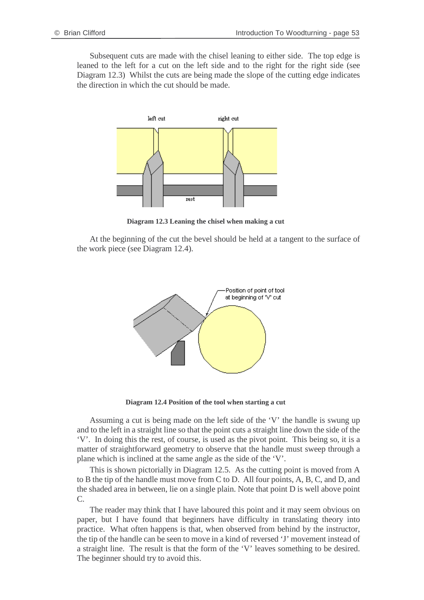Subsequent cuts are made with the chisel leaning to either side. The top edge is leaned to the left for a cut on the left side and to the right for the right side (see Diagram 12.3) Whilst the cuts are being made the slope of the cutting edge indicates the direction in which the cut should be made.



**Diagram 12.3 Leaning the chisel when making a cut**

At the beginning of the cut the bevel should be held at a tangent to the surface of the work piece (see Diagram 12.4).



**Diagram 12.4 Position of the tool when starting a cut**

Assuming a cut is being made on the left side of the 'V' the handle is swung up and to the left in a straight line so that the point cuts a straight line down the side of the 'V'. In doing this the rest, of course, is used as the pivot point. This being so, it is a matter of straightforward geometry to observe that the handle must sweep through a plane which is inclined at the same angle as the side of the 'V'.

This is shown pictorially in Diagram 12.5. As the cutting point is moved from A to B the tip of the handle must move from C to D. All four points, A, B, C, and D, and the shaded area in between, lie on a single plain. Note that point D is well above point C.

The reader may think that I have laboured this point and it may seem obvious on paper, but I have found that beginners have difficulty in translating theory into practice. What often happens is that, when observed from behind by the instructor, the tip of the handle can be seen to move in a kind of reversed 'J' movement instead of a straight line. The result is that the form of the 'V' leaves something to be desired. The beginner should try to avoid this.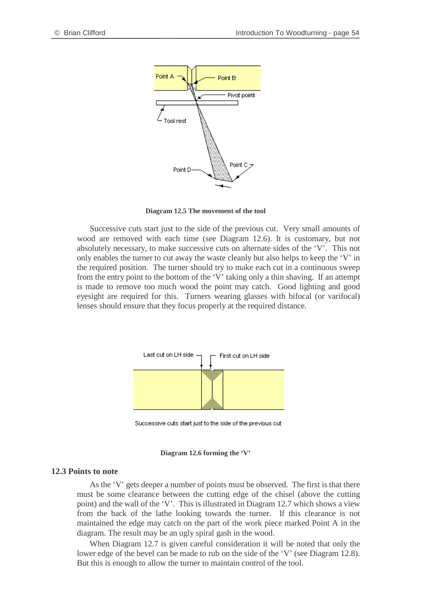

**Diagram 12.5 The movement of the tool**

Successive cuts start just to the side of the previous cut. Very small amounts of wood are removed with each time (see Diagram 12.6). It is customary, but not absolutely necessary, to make successive cuts on alternate sides of the 'V'. This not only enables the turner to cut away the waste cleanly but also helps to keep the 'V' in the required position. The turner should try to make each cut in a continuous sweep from the entry point to the bottom of the 'V' taking only a thin shaving. If an attempt is made to remove too much wood the point may catch. Good lighting and good eyesight are required for this. Turners wearing glasses with bifocal (or varifocal) lenses should ensure that they focus properly at the required distance.



Successive cuts start just to the side of the previous cut

#### **Diagram 12.6 forming the 'V'**

#### **12.3 Points to note**

As the 'V' gets deeper a number of points must be observed. The first is that there must be some clearance between the cutting edge of the chisel (above the cutting point) and the wall of the 'V'. This is illustrated in Diagram 12.7 which shows a view from the back of the lathe looking towards the turner. If this clearance is not maintained the edge may catch on the part of the work piece marked Point A in the diagram. The result may be an ugly spiral gash in the wood.

When Diagram 12.7 is given careful consideration it will be noted that only the lower edge of the bevel can be made to rub on the side of the 'V' (see Diagram 12.8). But this is enough to allow the turner to maintain control of the tool.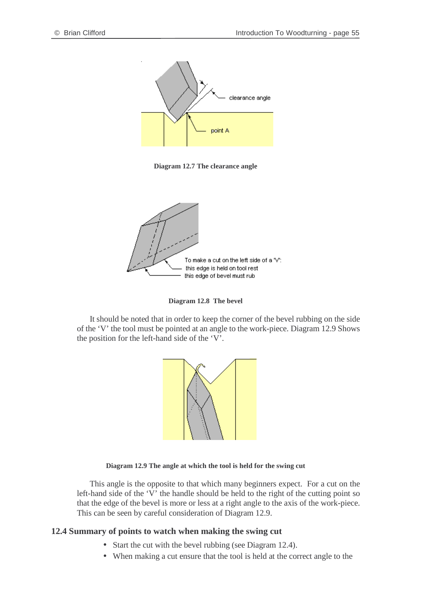

**Diagram 12.7 The clearance angle**



**Diagram 12.8 The bevel**

It should be noted that in order to keep the corner of the bevel rubbing on the side of the 'V' the tool must be pointed at an angle to the work-piece. Diagram 12.9 Shows the position for the left-hand side of the 'V'.



#### **Diagram 12.9 The angle at which the tool is held for the swing cut**

This angle is the opposite to that which many beginners expect. For a cut on the left-hand side of the 'V' the handle should be held to the right of the cutting point so that the edge of the bevel is more or less at a right angle to the axis of the work-piece. This can be seen by careful consideration of Diagram 12.9.

#### **12.4 Summary of points to watch when making the swing cut**

- Start the cut with the bevel rubbing (see Diagram 12.4).
- When making a cut ensure that the tool is held at the correct angle to the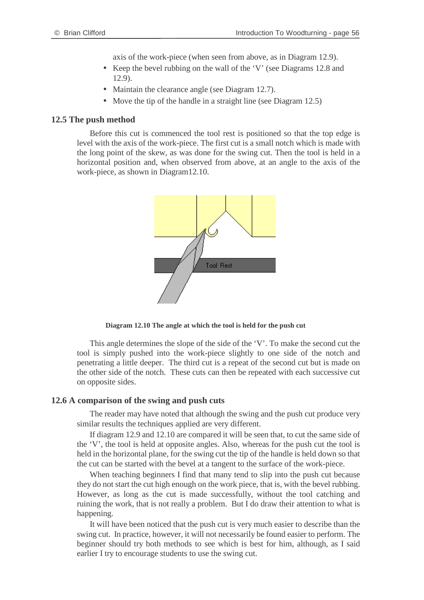axis of the work-piece (when seen from above, as in Diagram 12.9).

- Keep the bevel rubbing on the wall of the 'V' (see Diagrams 12.8 and 12.9).
- Maintain the clearance angle (see Diagram 12.7).
- Move the tip of the handle in a straight line (see Diagram 12.5)

### **12.5 The push method**

Before this cut is commenced the tool rest is positioned so that the top edge is level with the axis of the work-piece. The first cut is a small notch which is made with the long point of the skew, as was done for the swing cut. Then the tool is held in a horizontal position and, when observed from above, at an angle to the axis of the work-piece, as shown in Diagram12.10.



**Diagram 12.10 The angle at which the tool is held for the push cut**

This angle determines the slope of the side of the 'V'. To make the second cut the tool is simply pushed into the work-piece slightly to one side of the notch and penetrating a little deeper. The third cut is a repeat of the second cut but is made on the other side of the notch. These cuts can then be repeated with each successive cut on opposite sides.

#### **12.6 A comparison of the swing and push cuts**

The reader may have noted that although the swing and the push cut produce very similar results the techniques applied are very different.

If diagram 12.9 and 12.10 are compared it will be seen that, to cut the same side of the 'V', the tool is held at opposite angles. Also, whereas for the push cut the tool is held in the horizontal plane, for the swing cut the tip of the handle is held down so that the cut can be started with the bevel at a tangent to the surface of the work-piece.

When teaching beginners I find that many tend to slip into the push cut because they do not start the cut high enough on the work piece, that is, with the bevel rubbing. However, as long as the cut is made successfully, without the tool catching and ruining the work, that is not really a problem. But I do draw their attention to what is happening.

It will have been noticed that the push cut is very much easier to describe than the swing cut. In practice, however, it will not necessarily be found easier to perform. The beginner should try both methods to see which is best for him, although, as I said earlier I try to encourage students to use the swing cut.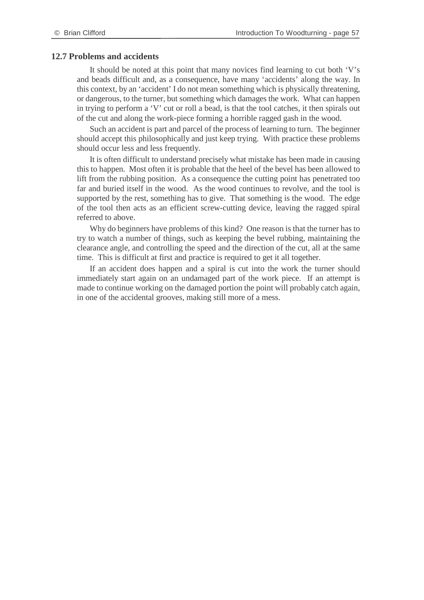#### **12.7 Problems and accidents**

It should be noted at this point that many novices find learning to cut both 'V's and beads difficult and, as a consequence, have many 'accidents' along the way. In this context, by an 'accident' I do not mean something which is physically threatening, or dangerous, to the turner, but something which damages the work. What can happen in trying to perform a 'V' cut or roll a bead, is that the tool catches, it then spirals out of the cut and along the work-piece forming a horrible ragged gash in the wood.

Such an accident is part and parcel of the process of learning to turn. The beginner should accept this philosophically and just keep trying. With practice these problems should occur less and less frequently.

It is often difficult to understand precisely what mistake has been made in causing this to happen. Most often it is probable that the heel of the bevel has been allowed to lift from the rubbing position. As a consequence the cutting point has penetrated too far and buried itself in the wood. As the wood continues to revolve, and the tool is supported by the rest, something has to give. That something is the wood. The edge of the tool then acts as an efficient screw-cutting device, leaving the ragged spiral referred to above.

Why do beginners have problems of this kind? One reason is that the turner has to try to watch a number of things, such as keeping the bevel rubbing, maintaining the clearance angle, and controlling the speed and the direction of the cut, all at the same time. This is difficult at first and practice is required to get it all together.

If an accident does happen and a spiral is cut into the work the turner should immediately start again on an undamaged part of the work piece. If an attempt is made to continue working on the damaged portion the point will probably catch again, in one of the accidental grooves, making still more of a mess.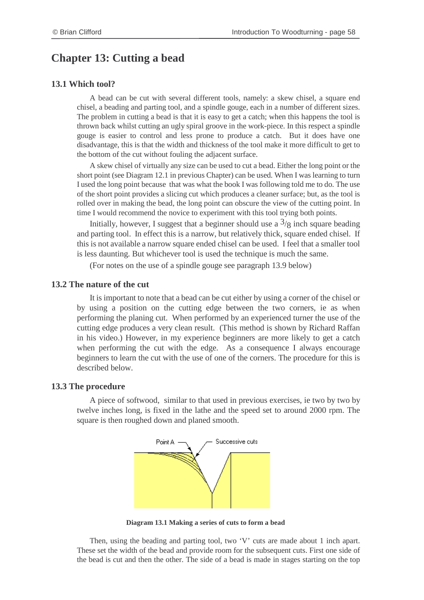# **Chapter 13: Cutting a bead**

### **13.1 Which tool?**

A bead can be cut with several different tools, namely: a skew chisel, a square end chisel, a beading and parting tool, and a spindle gouge, each in a number of different sizes. The problem in cutting a bead is that it is easy to get a catch; when this happens the tool is thrown back whilst cutting an ugly spiral groove in the work-piece. In this respect a spindle gouge is easier to control and less prone to produce a catch. But it does have one disadvantage, this is that the width and thickness of the tool make it more difficult to get to the bottom of the cut without fouling the adjacent surface.

A skew chisel of virtually any size can be used to cut a bead. Either the long point or the short point (see Diagram 12.1 in previous Chapter) can be used. When I was learning to turn I used the long point because that was what the book I was following told me to do. The use of the short point provides a slicing cut which produces a cleaner surface; but, as the tool is rolled over in making the bead, the long point can obscure the view of the cutting point. In time I would recommend the novice to experiment with this tool trying both points.

Initially, however, I suggest that a beginner should use a  $\frac{3}{8}$  inch square beading and parting tool. In effect this is a narrow, but relatively thick, square ended chisel. If this is not available a narrow square ended chisel can be used. I feel that a smaller tool is less daunting. But whichever tool is used the technique is much the same.

(For notes on the use of a spindle gouge see paragraph 13.9 below)

### **13.2 The nature of the cut**

It is important to note that a bead can be cut either by using a corner of the chisel or by using a position on the cutting edge between the two corners, ie as when performing the planing cut. When performed by an experienced turner the use of the cutting edge produces a very clean result. (This method is shown by Richard Raffan in his video.) However, in my experience beginners are more likely to get a catch when performing the cut with the edge. As a consequence I always encourage beginners to learn the cut with the use of one of the corners. The procedure for this is described below.

### **13.3 The procedure**

A piece of softwood, similar to that used in previous exercises, ie two by two by twelve inches long, is fixed in the lathe and the speed set to around 2000 rpm. The square is then roughed down and planed smooth.



**Diagram 13.1 Making a series of cuts to form a bead**

Then, using the beading and parting tool, two 'V' cuts are made about 1 inch apart. These set the width of the bead and provide room for the subsequent cuts. First one side of the bead is cut and then the other. The side of a bead is made in stages starting on the top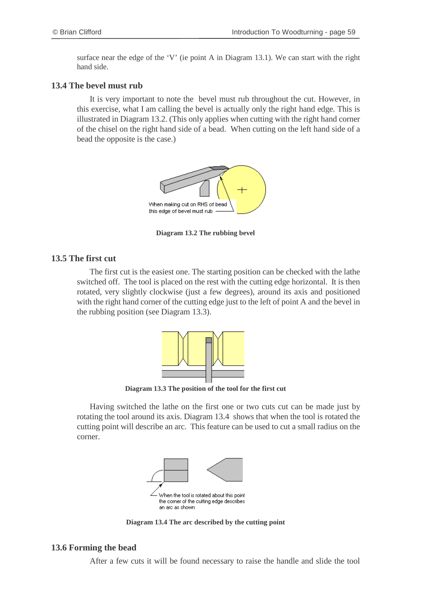surface near the edge of the 'V' (ie point A in Diagram 13.1). We can start with the right hand side.

### **13.4 The bevel must rub**

It is very important to note the bevel must rub throughout the cut. However, in this exercise, what I am calling the bevel is actually only the right hand edge. This is illustrated in Diagram 13.2. (This only applies when cutting with the right hand corner of the chisel on the right hand side of a bead. When cutting on the left hand side of a bead the opposite is the case.)



**Diagram 13.2 The rubbing bevel**

### **13.5 The first cut**

The first cut is the easiest one. The starting position can be checked with the lathe switched off. The tool is placed on the rest with the cutting edge horizontal. It is then rotated, very slightly clockwise (just a few degrees), around its axis and positioned with the right hand corner of the cutting edge just to the left of point A and the bevel in the rubbing position (see Diagram 13.3).



**Diagram 13.3 The position of the tool for the first cut**

Having switched the lathe on the first one or two cuts cut can be made just by rotating the tool around its axis. Diagram 13.4 shows that when the tool is rotated the cutting point will describe an arc. This feature can be used to cut a small radius on the corner.



**Diagram 13.4 The arc described by the cutting point**

### **13.6 Forming the bead**

After a few cuts it will be found necessary to raise the handle and slide the tool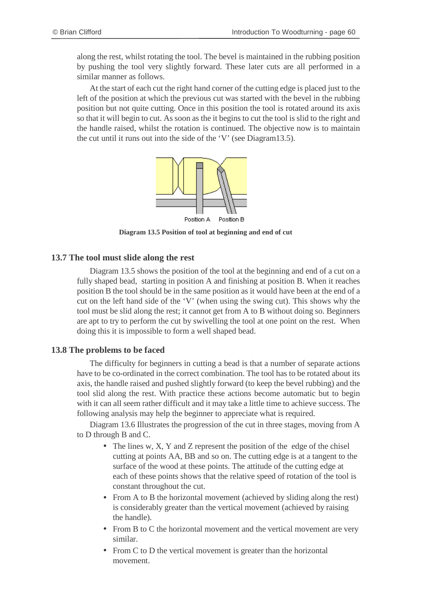along the rest, whilst rotating the tool. The bevel is maintained in the rubbing position by pushing the tool very slightly forward. These later cuts are all performed in a similar manner as follows.

At the start of each cut the right hand corner of the cutting edge is placed just to the left of the position at which the previous cut was started with the bevel in the rubbing position but not quite cutting. Once in this position the tool is rotated around its axis so that it will begin to cut. As soon as the it begins to cut the tool is slid to the right and the handle raised, whilst the rotation is continued. The objective now is to maintain the cut until it runs out into the side of the 'V' (see Diagram13.5).



**Diagram 13.5 Position of tool at beginning and end of cut**

#### **13.7 The tool must slide along the rest**

Diagram 13.5 shows the position of the tool at the beginning and end of a cut on a fully shaped bead, starting in position A and finishing at position B. When it reaches position B the tool should be in the same position as it would have been at the end of a cut on the left hand side of the 'V' (when using the swing cut). This shows why the tool must be slid along the rest; it cannot get from A to B without doing so. Beginners are apt to try to perform the cut by swivelling the tool at one point on the rest. When doing this it is impossible to form a well shaped bead.

#### **13.8 The problems to be faced**

The difficulty for beginners in cutting a bead is that a number of separate actions have to be co-ordinated in the correct combination. The tool has to be rotated about its axis, the handle raised and pushed slightly forward (to keep the bevel rubbing) and the tool slid along the rest. With practice these actions become automatic but to begin with it can all seem rather difficult and it may take a little time to achieve success. The following analysis may help the beginner to appreciate what is required.

Diagram 13.6 Illustrates the progression of the cut in three stages, moving from A to D through B and C.

- The lines w, X, Y and Z represent the position of the edge of the chisel cutting at points AA, BB and so on. The cutting edge is at a tangent to the surface of the wood at these points. The attitude of the cutting edge at each of these points shows that the relative speed of rotation of the tool is constant throughout the cut.
- From A to B the horizontal movement (achieved by sliding along the rest) is considerably greater than the vertical movement (achieved by raising the handle).
- From B to C the horizontal movement and the vertical movement are very similar.
- From C to D the vertical movement is greater than the horizontal movement.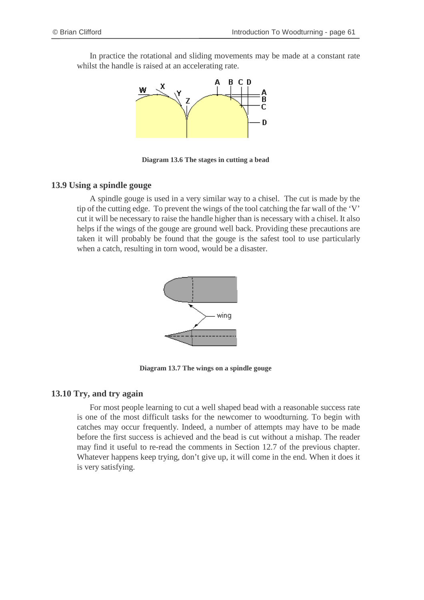In practice the rotational and sliding movements may be made at a constant rate whilst the handle is raised at an accelerating rate.



**Diagram 13.6 The stages in cutting a bead**

### **13.9 Using a spindle gouge**

A spindle gouge is used in a very similar way to a chisel. The cut is made by the tip of the cutting edge. To prevent the wings of the tool catching the far wall of the 'V' cut it will be necessary to raise the handle higher than is necessary with a chisel. It also helps if the wings of the gouge are ground well back. Providing these precautions are taken it will probably be found that the gouge is the safest tool to use particularly when a catch, resulting in torn wood, would be a disaster.



**Diagram 13.7 The wings on a spindle gouge**

### **13.10 Try, and try again**

For most people learning to cut a well shaped bead with a reasonable success rate is one of the most difficult tasks for the newcomer to woodturning. To begin with catches may occur frequently. Indeed, a number of attempts may have to be made before the first success is achieved and the bead is cut without a mishap. The reader may find it useful to re-read the comments in Section 12.7 of the previous chapter. Whatever happens keep trying, don't give up, it will come in the end. When it does it is very satisfying.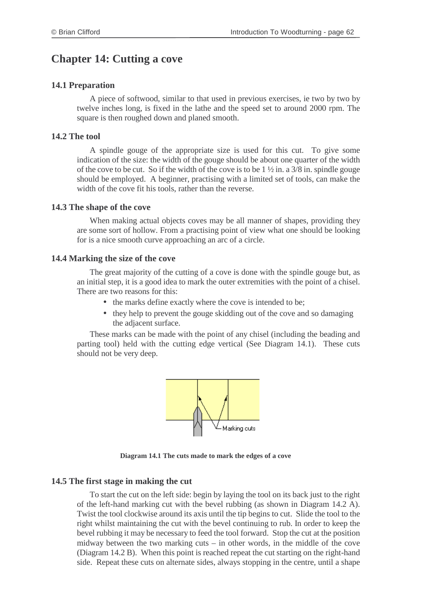# **Chapter 14: Cutting a cove**

### **14.1 Preparation**

A piece of softwood, similar to that used in previous exercises, ie two by two by twelve inches long, is fixed in the lathe and the speed set to around 2000 rpm. The square is then roughed down and planed smooth.

### **14.2 The tool**

A spindle gouge of the appropriate size is used for this cut. To give some indication of the size: the width of the gouge should be about one quarter of the width of the cove to be cut. So if the width of the cove is to be  $1\frac{1}{2}$  in. a  $3/8$  in. spindle gouge should be employed. A beginner, practising with a limited set of tools, can make the width of the cove fit his tools, rather than the reverse.

### **14.3 The shape of the cove**

When making actual objects coves may be all manner of shapes, providing they are some sort of hollow. From a practising point of view what one should be looking for is a nice smooth curve approaching an arc of a circle.

#### **14.4 Marking the size of the cove**

The great majority of the cutting of a cove is done with the spindle gouge but, as an initial step, it is a good idea to mark the outer extremities with the point of a chisel. There are two reasons for this:

- the marks define exactly where the cove is intended to be;
- they help to prevent the gouge skidding out of the cove and so damaging the adjacent surface.

These marks can be made with the point of any chisel (including the beading and parting tool) held with the cutting edge vertical (See Diagram 14.1). These cuts should not be very deep.



**Diagram 14.1 The cuts made to mark the edges of a cove**

### **14.5 The first stage in making the cut**

To start the cut on the left side: begin by laying the tool on its back just to the right of the left-hand marking cut with the bevel rubbing (as shown in Diagram 14.2 A). Twist the tool clockwise around its axis until the tip begins to cut. Slide the tool to the right whilst maintaining the cut with the bevel continuing to rub. In order to keep the bevel rubbing it may be necessary to feed the tool forward. Stop the cut at the position midway between the two marking cuts – in other words, in the middle of the cove (Diagram 14.2 B). When this point is reached repeat the cut starting on the right-hand side. Repeat these cuts on alternate sides, always stopping in the centre, until a shape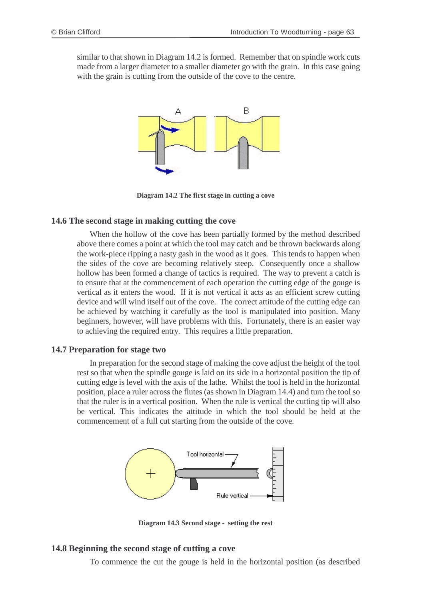similar to that shown in Diagram 14.2 is formed. Remember that on spindle work cuts made from a larger diameter to a smaller diameter go with the grain. In this case going with the grain is cutting from the outside of the cove to the centre.



**Diagram 14.2 The first stage in cutting a cove**

### **14.6 The second stage in making cutting the cove**

When the hollow of the cove has been partially formed by the method described above there comes a point at which the tool may catch and be thrown backwards along the work-piece ripping a nasty gash in the wood as it goes. This tends to happen when the sides of the cove are becoming relatively steep. Consequently once a shallow hollow has been formed a change of tactics is required. The way to prevent a catch is to ensure that at the commencement of each operation the cutting edge of the gouge is vertical as it enters the wood. If it is not vertical it acts as an efficient screw cutting device and will wind itself out of the cove. The correct attitude of the cutting edge can be achieved by watching it carefully as the tool is manipulated into position. Many beginners, however, will have problems with this. Fortunately, there is an easier way to achieving the required entry. This requires a little preparation.

#### **14.7 Preparation for stage two**

In preparation for the second stage of making the cove adjust the height of the tool rest so that when the spindle gouge is laid on its side in a horizontal position the tip of cutting edge is level with the axis of the lathe. Whilst the tool is held in the horizontal position, place a ruler across the flutes (as shown in Diagram 14.4) and turn the tool so that the ruler is in a vertical position. When the rule is vertical the cutting tip will also be vertical. This indicates the attitude in which the tool should be held at the commencement of a full cut starting from the outside of the cove.



**Diagram 14.3 Second stage - setting the rest**

#### **14.8 Beginning the second stage of cutting a cove**

To commence the cut the gouge is held in the horizontal position (as described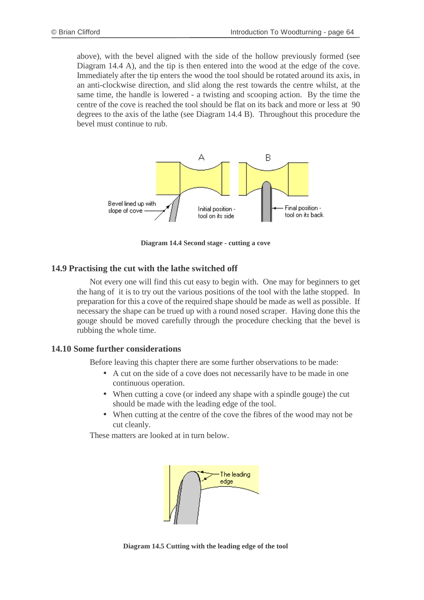above), with the bevel aligned with the side of the hollow previously formed (see Diagram 14.4 A), and the tip is then entered into the wood at the edge of the cove. Immediately after the tip enters the wood the tool should be rotated around its axis, in an anti-clockwise direction, and slid along the rest towards the centre whilst, at the same time, the handle is lowered - a twisting and scooping action. By the time the centre of the cove is reached the tool should be flat on its back and more or less at 90 degrees to the axis of the lathe (see Diagram 14.4 B). Throughout this procedure the bevel must continue to rub.



**Diagram 14.4 Second stage - cutting a cove**

### **14.9 Practising the cut with the lathe switched off**

Not every one will find this cut easy to begin with. One may for beginners to get the hang of it is to try out the various positions of the tool with the lathe stopped. In preparation for this a cove of the required shape should be made as well as possible. If necessary the shape can be trued up with a round nosed scraper. Having done this the gouge should be moved carefully through the procedure checking that the bevel is rubbing the whole time.

### **14.10 Some further considerations**

Before leaving this chapter there are some further observations to be made:

- A cut on the side of a cove does not necessarily have to be made in one continuous operation.
- When cutting a cove (or indeed any shape with a spindle gouge) the cut should be made with the leading edge of the tool.
- When cutting at the centre of the cove the fibres of the wood may not be cut cleanly.

These matters are looked at in turn below.



**Diagram 14.5 Cutting with the leading edge of the tool**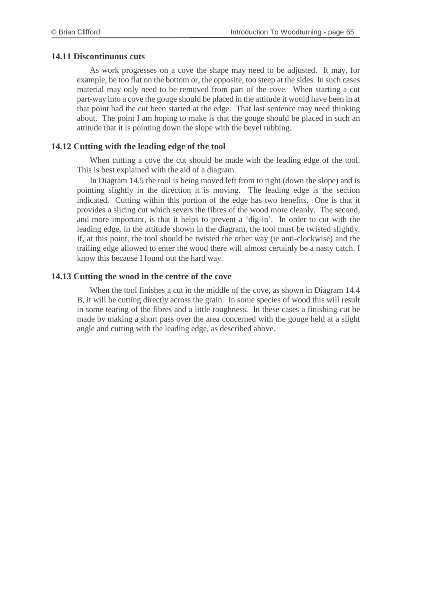### **14.11 Discontinuous cuts**

As work progresses on a cove the shape may need to be adjusted. It may, for example, be too flat on the bottom or, the opposite, too steep at the sides. In such cases material may only need to be removed from part of the cove. When starting a cut part-way into a cove the gouge should be placed in the attitude it would have been in at that point had the cut been started at the edge. That last sentence may need thinking about. The point I am hoping to make is that the gouge should be placed in such an attitude that it is pointing down the slope with the bevel rubbing.

### **14.12 Cutting with the leading edge of the tool**

When cutting a cove the cut should be made with the leading edge of the tool. This is best explained with the aid of a diagram.

In Diagram 14.5 the tool is being moved left from to right (down the slope) and is pointing slightly in the direction it is moving. The leading edge is the section indicated. Cutting within this portion of the edge has two benefits. One is that it provides a slicing cut which severs the fibres of the wood more cleanly. The second, and more important, is that it helps to prevent a 'dig-in'. In order to cut with the leading edge, in the attitude shown in the diagram, the tool must be twisted slightly. If, at this point, the tool should be twisted the other way (ie anti-clockwise) and the trailing edge allowed to enter the wood there will almost certainly be a nasty catch. I know this because I found out the hard way.

### **14.13 Cutting the wood in the centre of the cove**

When the tool finishes a cut in the middle of the cove, as shown in Diagram 14.4 B, it will be cutting directly across the grain. In some species of wood this will result in some tearing of the fibres and a little roughness. In these cases a finishing cut be made by making a short pass over the area concerned with the gouge held at a slight angle and cutting with the leading edge, as described above.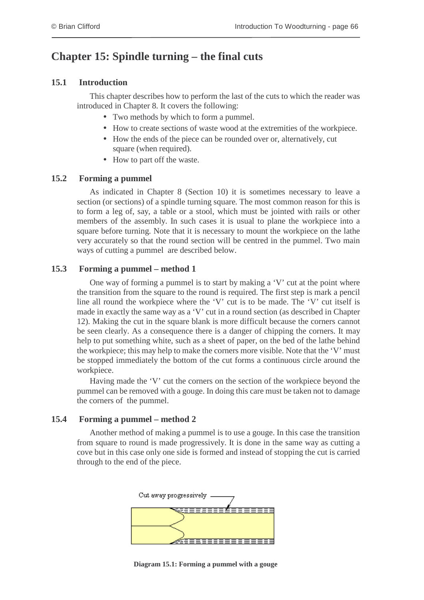# **Chapter 15: Spindle turning – the final cuts**

### **15.1 Introduction**

This chapter describes how to perform the last of the cuts to which the reader was introduced in Chapter 8. It covers the following:

- Two methods by which to form a pummel.
- How to create sections of waste wood at the extremities of the workpiece.
- How the ends of the piece can be rounded over or, alternatively, cut square (when required).
- How to part off the waste.

### **15.2 Forming a pummel**

As indicated in Chapter 8 (Section 10) it is sometimes necessary to leave a section (or sections) of a spindle turning square. The most common reason for this is to form a leg of, say, a table or a stool, which must be jointed with rails or other members of the assembly. In such cases it is usual to plane the workpiece into a square before turning. Note that it is necessary to mount the workpiece on the lathe very accurately so that the round section will be centred in the pummel. Two main ways of cutting a pummel are described below.

### **15.3 Forming a pummel – method 1**

One way of forming a pummel is to start by making a 'V' cut at the point where the transition from the square to the round is required. The first step is mark a pencil line all round the workpiece where the 'V' cut is to be made. The 'V' cut itself is made in exactly the same way as a 'V' cut in a round section (as described in Chapter 12). Making the cut in the square blank is more difficult because the corners cannot be seen clearly. As a consequence there is a danger of chipping the corners. It may help to put something white, such as a sheet of paper, on the bed of the lathe behind the workpiece; this may help to make the corners more visible. Note that the 'V' must be stopped immediately the bottom of the cut forms a continuous circle around the workpiece.

Having made the 'V' cut the corners on the section of the workpiece beyond the pummel can be removed with a gouge. In doing this care must be taken not to damage the corners of the pummel.

### **15.4 Forming a pummel – method 2**

Another method of making a pummel is to use a gouge. In this case the transition from square to round is made progressively. It is done in the same way as cutting a cove but in this case only one side is formed and instead of stopping the cut is carried through to the end of the piece.



**Diagram 15.1: Forming a pummel with a gouge**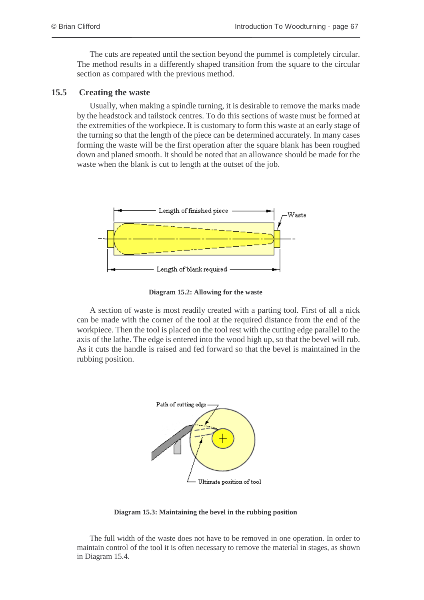The cuts are repeated until the section beyond the pummel is completely circular. The method results in a differently shaped transition from the square to the circular section as compared with the previous method.

### **15.5 Creating the waste**

Usually, when making a spindle turning, it is desirable to remove the marks made by the headstock and tailstock centres. To do this sections of waste must be formed at the extremities of the workpiece. It is customary to form this waste at an early stage of the turning so that the length of the piece can be determined accurately. In many cases forming the waste will be the first operation after the square blank has been roughed down and planed smooth. It should be noted that an allowance should be made for the waste when the blank is cut to length at the outset of the job.



**Diagram 15.2: Allowing for the waste**

A section of waste is most readily created with a parting tool. First of all a nick can be made with the corner of the tool at the required distance from the end of the workpiece. Then the tool is placed on the tool rest with the cutting edge parallel to the axis of the lathe. The edge is entered into the wood high up, so that the bevel will rub. As it cuts the handle is raised and fed forward so that the bevel is maintained in the rubbing position.



**Diagram 15.3: Maintaining the bevel in the rubbing position**

The full width of the waste does not have to be removed in one operation. In order to maintain control of the tool it is often necessary to remove the material in stages, as shown in Diagram 15.4.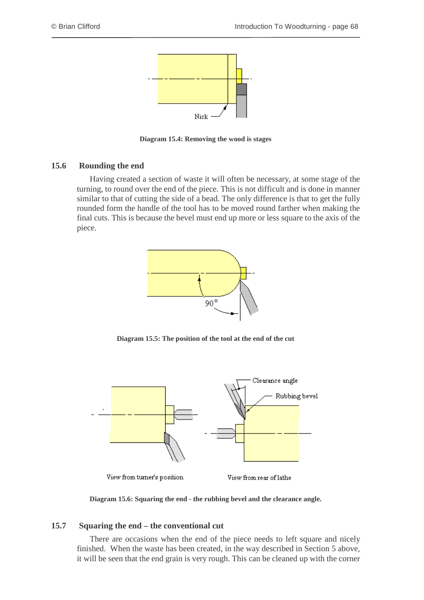

**Diagram 15.4: Removing the wood is stages**

## **15.6 Rounding the end**

Having created a section of waste it will often be necessary, at some stage of the turning, to round over the end of the piece. This is not difficult and is done in manner similar to that of cutting the side of a bead. The only difference is that to get the fully rounded form the handle of the tool has to be moved round farther when making the final cuts. This is because the bevel must end up more or less square to the axis of the piece.



**Diagram 15.5: The position of the tool at the end of the cut**



**Diagram 15.6: Squaring the end - the rubbing bevel and the clearance angle.**

## **15.7 Squaring the end – the conventional cut**

There are occasions when the end of the piece needs to left square and nicely finished. When the waste has been created, in the way described in Section 5 above, it will be seen that the end grain is very rough. This can be cleaned up with the corner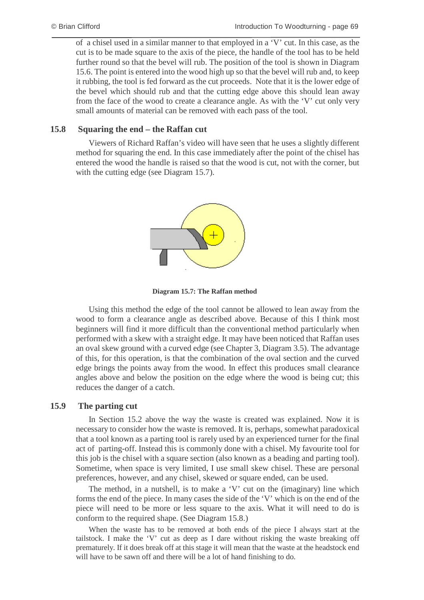of a chisel used in a similar manner to that employed in a 'V' cut. In this case, as the cut is to be made square to the axis of the piece, the handle of the tool has to be held further round so that the bevel will rub. The position of the tool is shown in Diagram 15.6. The point is entered into the wood high up so that the bevel will rub and, to keep it rubbing, the tool is fed forward as the cut proceeds. Note that it is the lower edge of the bevel which should rub and that the cutting edge above this should lean away from the face of the wood to create a clearance angle. As with the 'V' cut only very small amounts of material can be removed with each pass of the tool.

## **15.8 Squaring the end – the Raffan cut**

Viewers of Richard Raffan's video will have seen that he uses a slightly different method for squaring the end. In this case immediately after the point of the chisel has entered the wood the handle is raised so that the wood is cut, not with the corner, but with the cutting edge (see Diagram 15.7).



**Diagram 15.7: The Raffan method**

Using this method the edge of the tool cannot be allowed to lean away from the wood to form a clearance angle as described above. Because of this I think most beginners will find it more difficult than the conventional method particularly when performed with a skew with a straight edge. It may have been noticed that Raffan uses an oval skew ground with a curved edge (see Chapter 3, Diagram 3.5). The advantage of this, for this operation, is that the combination of the oval section and the curved edge brings the points away from the wood. In effect this produces small clearance angles above and below the position on the edge where the wood is being cut; this reduces the danger of a catch.

## **15.9 The parting cut**

In Section 15.2 above the way the waste is created was explained. Now it is necessary to consider how the waste is removed. It is, perhaps, somewhat paradoxical that a tool known as a parting tool is rarely used by an experienced turner for the final act of parting-off. Instead this is commonly done with a chisel. My favourite tool for this job is the chisel with a square section (also known as a beading and parting tool). Sometime, when space is very limited, I use small skew chisel. These are personal preferences, however, and any chisel, skewed or square ended, can be used.

The method, in a nutshell, is to make a 'V' cut on the (imaginary) line which forms the end of the piece. In many cases the side of the 'V' which is on the end of the piece will need to be more or less square to the axis. What it will need to do is conform to the required shape. (See Diagram 15.8.)

When the waste has to be removed at both ends of the piece I always start at the tailstock. I make the 'V' cut as deep as I dare without risking the waste breaking off prematurely. If it does break off at this stage it will mean that the waste at the headstock end will have to be sawn off and there will be a lot of hand finishing to do.